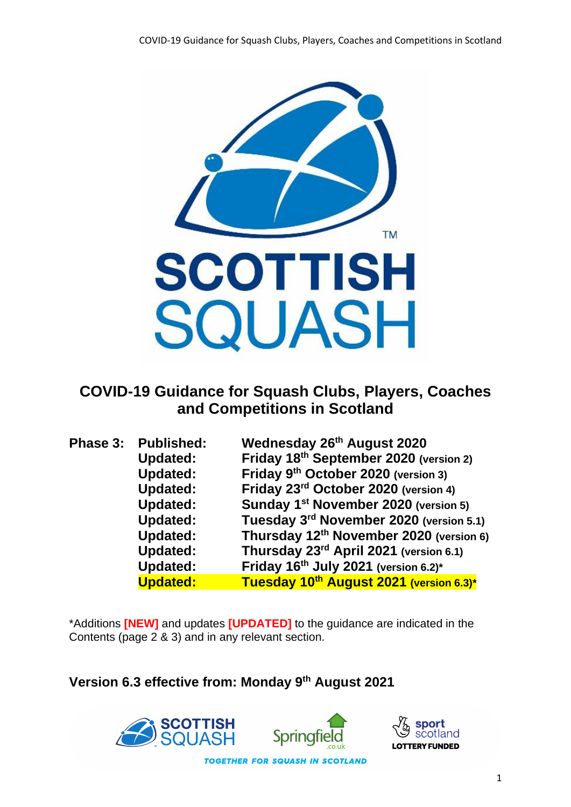

# **COVID-19 Guidance for Squash Clubs, Players, Coaches and Competitions in Scotland**

| Phase 3: Published: | Wednesday 26th August 2020                          |
|---------------------|-----------------------------------------------------|
| <b>Updated:</b>     | Friday 18th September 2020 (version 2)              |
| <b>Updated:</b>     | Friday 9 <sup>th</sup> October 2020 (version 3)     |
| <b>Updated:</b>     | Friday 23rd October 2020 (version 4)                |
| <b>Updated:</b>     | Sunday 1 <sup>st</sup> November 2020 (version 5)    |
| <b>Updated:</b>     | Tuesday 3 <sup>rd</sup> November 2020 (version 5.1) |
| <b>Updated:</b>     | Thursday 12 <sup>th</sup> November 2020 (version 6) |
| <b>Updated:</b>     | Thursday 23 <sup>rd</sup> April 2021 (version 6.1)  |
| <b>Updated:</b>     | Friday 16th July 2021 (version 6.2)*                |
| <b>Updated:</b>     | Tuesday 10th August 2021 (version 6.3)*             |

\*Additions **[NEW]** and updates **[UPDATED]** to the guidance are indicated in the Contents (page 2 & 3) and in any relevant section.

**Version 6.3 effective from: Monday 9th August 2021**





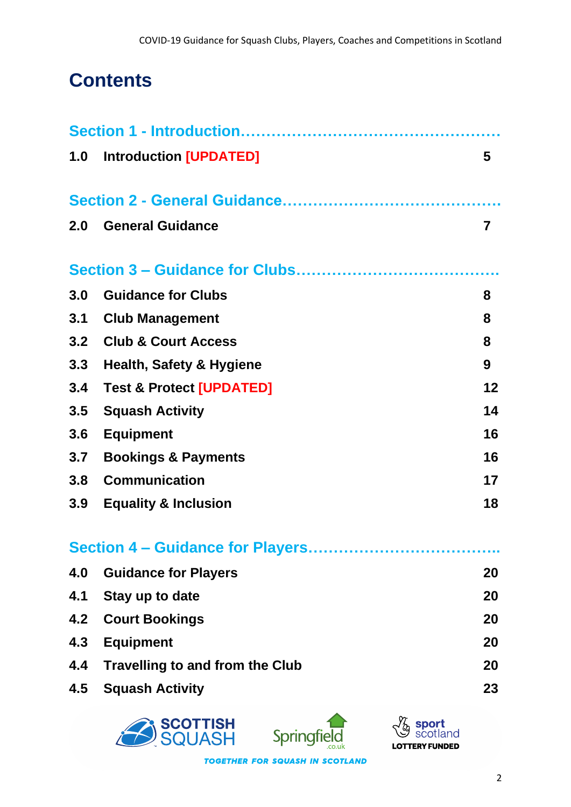# **Contents**

|     | 1.0 Introduction [UPDATED]             | 5  |
|-----|----------------------------------------|----|
|     |                                        |    |
| 2.0 | <b>General Guidance</b>                | 7  |
|     |                                        |    |
| 3.0 | <b>Guidance for Clubs</b>              | 8  |
| 3.1 | <b>Club Management</b>                 | 8  |
| 3.2 | <b>Club &amp; Court Access</b>         | 8  |
| 3.3 | <b>Health, Safety &amp; Hygiene</b>    | 9  |
| 3.4 | <b>Test &amp; Protect [UPDATED]</b>    | 12 |
| 3.5 | <b>Squash Activity</b>                 | 14 |
| 3.6 | <b>Equipment</b>                       | 16 |
| 3.7 | <b>Bookings &amp; Payments</b>         | 16 |
| 3.8 | <b>Communication</b>                   | 17 |
| 3.9 | <b>Equality &amp; Inclusion</b>        | 18 |
|     |                                        |    |
| 4.0 | <b>Guidance for Players</b>            | 20 |
| 4.1 | Stay up to date                        | 20 |
| 4.2 | <b>Court Bookings</b>                  | 20 |
| 4.3 | <b>Equipment</b>                       | 20 |
| 4.4 | <b>Travelling to and from the Club</b> | 20 |
| 4.5 | <b>Squash Activity</b>                 | 23 |
|     |                                        |    |





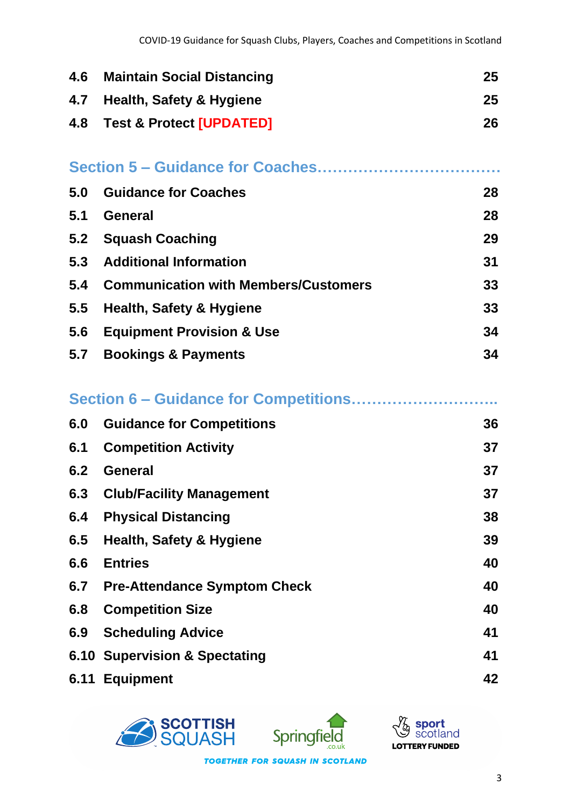| 4.6 | <b>Maintain Social Distancing</b>           | 25 |
|-----|---------------------------------------------|----|
| 4.7 | <b>Health, Safety &amp; Hygiene</b>         | 25 |
| 4.8 | <b>Test &amp; Protect [UPDATED]</b>         | 26 |
|     |                                             |    |
|     |                                             |    |
| 5.0 | <b>Guidance for Coaches</b>                 | 28 |
| 5.1 | <b>General</b>                              | 28 |
| 5.2 | <b>Squash Coaching</b>                      | 29 |
| 5.3 | <b>Additional Information</b>               | 31 |
| 5.4 | <b>Communication with Members/Customers</b> | 33 |
| 5.5 | <b>Health, Safety &amp; Hygiene</b>         | 33 |
| 5.6 | <b>Equipment Provision &amp; Use</b>        | 34 |
| 5.7 | <b>Bookings &amp; Payments</b>              | 34 |
|     |                                             |    |
|     |                                             |    |
|     | Section 6 - Guidance for Competitions       |    |
| 6.0 | <b>Guidance for Competitions</b>            | 36 |
| 6.1 | <b>Competition Activity</b>                 | 37 |
| 6.2 | <b>General</b>                              | 37 |
| 6.3 | <b>Club/Facility Management</b>             | 37 |
| 6.4 | <b>Physical Distancing</b>                  | 38 |
| 6.5 | <b>Health, Safety &amp; Hygiene</b>         | 39 |
| 6.6 | <b>Entries</b>                              | 40 |
| 6.7 | <b>Pre-Attendance Symptom Check</b>         | 40 |
| 6.8 | <b>Competition Size</b>                     | 40 |
| 6.9 | <b>Scheduling Advice</b>                    | 41 |
|     | 6.10 Supervision & Spectating               | 41 |





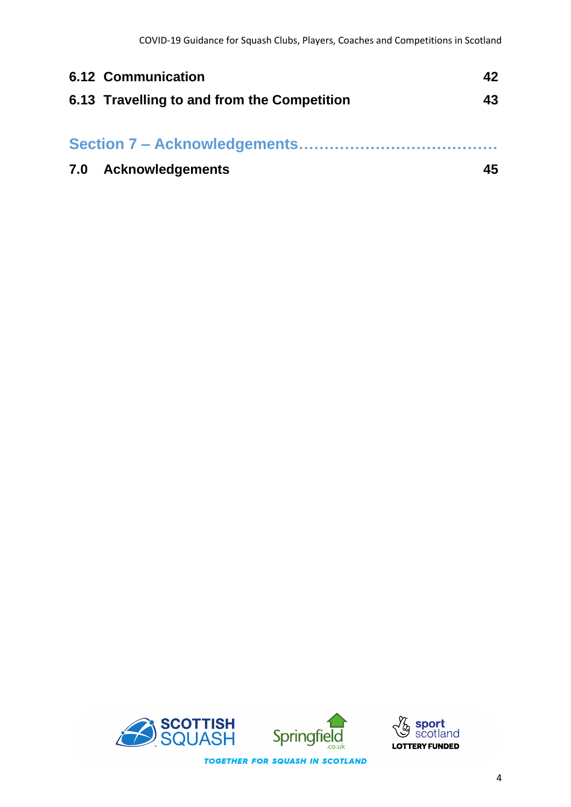| <b>6.12 Communication</b>                   | 42 |
|---------------------------------------------|----|
| 6.13 Travelling to and from the Competition | 43 |
|                                             |    |
| 7.0 Acknowledgements                        | 45 |



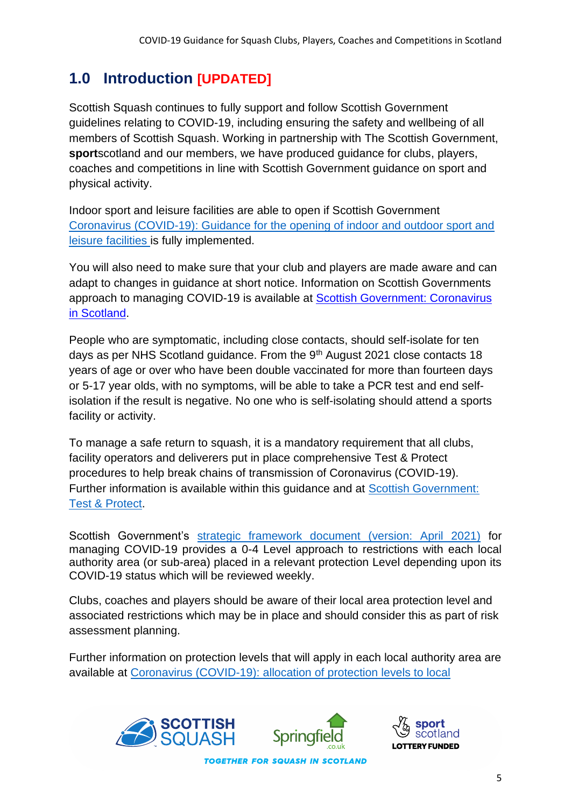# **1.0 Introduction [UPDATED]**

Scottish Squash continues to fully support and follow Scottish Government guidelines relating to COVID-19, including ensuring the safety and wellbeing of all members of Scottish Squash. Working in partnership with The Scottish Government, **sport**scotland and our members, we have produced guidance for clubs, players, coaches and competitions in line with Scottish Government guidance on sport and physical activity.

Indoor sport and leisure facilities are able to open if Scottish Government Coronavirus (COVID-19): [Guidance for the opening of indoor and outdoor sport and](http://www.gov.scot/publications/coronavirus-covid-19-guidance-on-sport-and-leisure-facilities)  [leisure facilities](http://www.gov.scot/publications/coronavirus-covid-19-guidance-on-sport-and-leisure-facilities) is fully implemented.

You will also need to make sure that your club and players are made aware and can adapt to changes in guidance at short notice. Information on Scottish Governments approach to managing COVID-19 is available at [Scottish Government: Coronavirus](http://www.gov.scot/coronavirus-covid-19/)  [in Scotland.](http://www.gov.scot/coronavirus-covid-19/)

People who are symptomatic, including close contacts, should self-isolate for ten days as per NHS Scotland guidance. From the 9<sup>th</sup> August 2021 close contacts 18 years of age or over who have been double vaccinated for more than fourteen days or 5-17 year olds, with no symptoms, will be able to take a PCR test and end selfisolation if the result is negative. No one who is self-isolating should attend a sports facility or activity.

To manage a safe return to squash, it is a mandatory requirement that all clubs, facility operators and deliverers put in place comprehensive Test & Protect procedures to help break chains of transmission of Coronavirus (COVID-19). Further information is available within this guidance and at [Scottish Government:](http://www.gov.scot/publications/coronavirus-covid-19-test-and-protect/)  [Test & Protect.](http://www.gov.scot/publications/coronavirus-covid-19-test-and-protect/)

Scottish Government's [strategic framework document \(version: April](https://www.gov.scot/binaries/content/documents/govscot/publications/advice-and-guidance/2020/10/coronavirus-covid-19-protection-levels/documents/covid-19-protection-levels-summary-information-on-what-you-can-and-cannot-do/covid-19-protection-levels-summary-information-on-what-you-can-and-cannot-do/govscot%3Adocument/COVID-19%2Bprotection%2Blevels%2B-%2Bsummary%2Binformation%2Bon%2Bwhat%2Byou%2Bcan%2Band%2Bcannot%2Bdo%2B---.pdf) 2021) for managing COVID-19 provides a 0-4 Level approach to restrictions with each local authority area (or sub-area) placed in a relevant protection Level depending upon its COVID-19 status which will be reviewed weekly.

Clubs, coaches and players should be aware of their local area protection level and associated restrictions which may be in place and should consider this as part of risk assessment planning.

Further information on protection levels that will apply in each local authority area are available at [Coronavirus \(COVID-19\): allocation of protection levels to local](https://www.gov.scot/publications/coronavirus-covid-19-allocation-of-levels-to-local-authorities/) 



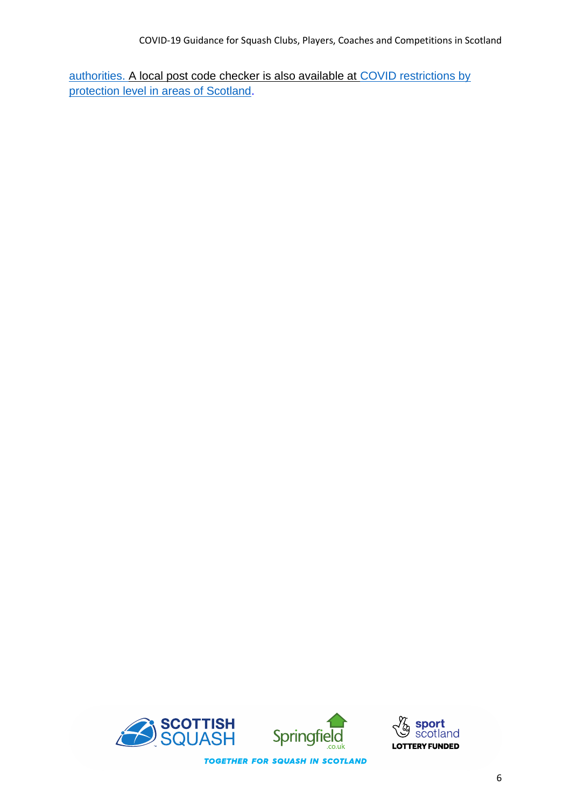[authorities.](https://www.gov.scot/publications/coronavirus-covid-19-allocation-of-levels-to-local-authorities/) A local post code checker is also available at [COVID restrictions by](http://www.gov.scot/check-local-covid-level/)  [protection level in areas of Scotland.](http://www.gov.scot/check-local-covid-level/)



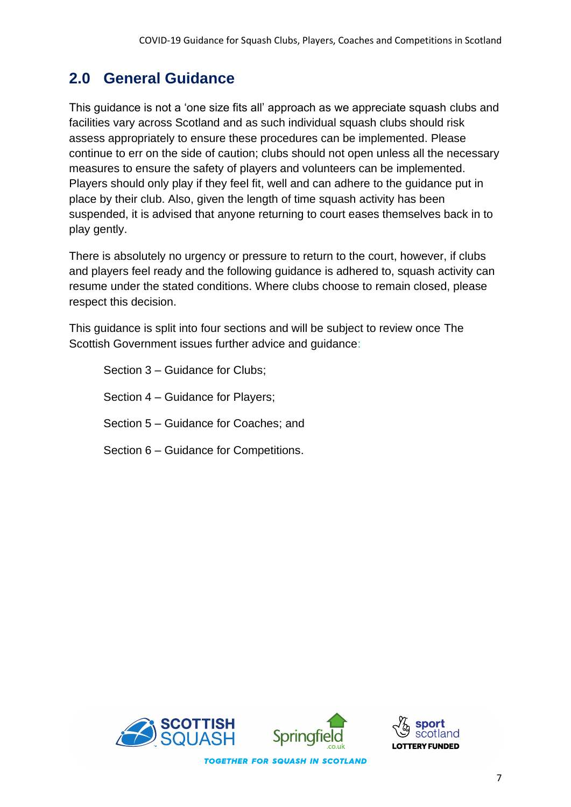# **2.0 General Guidance**

This guidance is not a 'one size fits all' approach as we appreciate squash clubs and facilities vary across Scotland and as such individual squash clubs should risk assess appropriately to ensure these procedures can be implemented. Please continue to err on the side of caution; clubs should not open unless all the necessary measures to ensure the safety of players and volunteers can be implemented. Players should only play if they feel fit, well and can adhere to the guidance put in place by their club. Also, given the length of time squash activity has been suspended, it is advised that anyone returning to court eases themselves back in to play gently.

There is absolutely no urgency or pressure to return to the court, however, if clubs and players feel ready and the following guidance is adhered to, squash activity can resume under the stated conditions. Where clubs choose to remain closed, please respect this decision.

This guidance is split into four sections and will be subject to review once The Scottish Government issues further advice and guidance:

Section 3 – Guidance for Clubs; Section 4 – Guidance for Players; Section 5 – Guidance for Coaches; and Section 6 – Guidance for Competitions.



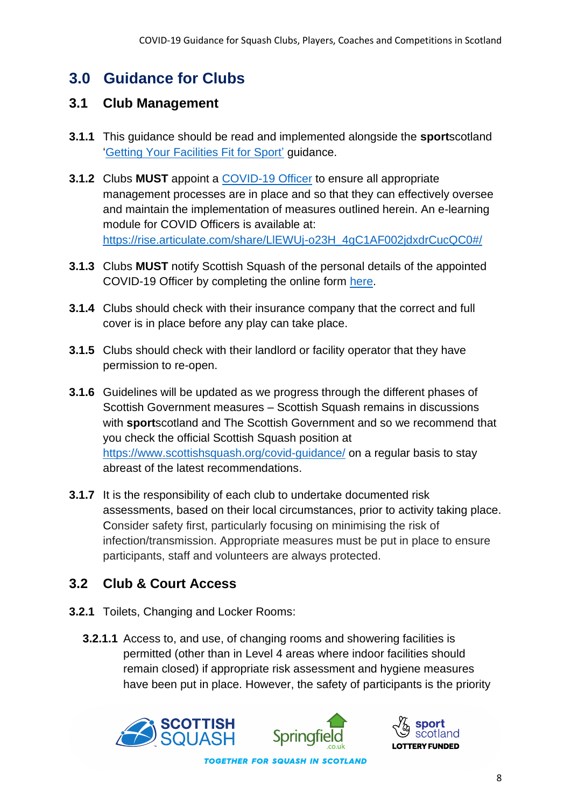# **3.0 Guidance for Clubs**

#### **3.1 Club Management**

- **3.1.1** This guidance should be read and implemented alongside the **sport**scotland ['Getting Your Facilities Fit for Sport'](https://sportscotland.org.uk/covid-19/getting-your-facilities-fit-for-sport/) guidance.
- **3.1.2** Clubs **MUST** appoint a [COVID-19 Officer](http://www.sportscotland.org.uk/media/5950/sportscotland-covid-officer.pdf) to ensure all appropriate management processes are in place and so that they can effectively oversee and maintain the implementation of measures outlined herein. An e-learning module for COVID Officers is available at: [https://rise.articulate.com/share/LlEWUj-o23H\\_4gC1AF002jdxdrCucQC0#/](https://rise.articulate.com/share/LlEWUj-o23H_4gC1AF002jdxdrCucQC0#/)
- **3.1.3** Clubs **MUST** notify Scottish Squash of the personal details of the appointed COVID-19 Officer by completing the online form [here.](https://www.scottishsquash.org/covid-19-officer-form/)
- **3.1.4** Clubs should check with their insurance company that the correct and full cover is in place before any play can take place.
- **3.1.5** Clubs should check with their landlord or facility operator that they have permission to re-open.
- **3.1.6** Guidelines will be updated as we progress through the different phases of Scottish Government measures – Scottish Squash remains in discussions with **sport**scotland and The Scottish Government and so we recommend that you check the official Scottish Squash position at <https://www.scottishsquash.org/covid-guidance/> on a regular basis to stay abreast of the latest recommendations.
- **3.1.7** It is the responsibility of each club to undertake documented risk assessments, based on their local circumstances, prior to activity taking place. Consider safety first, particularly focusing on minimising the risk of infection/transmission. Appropriate measures must be put in place to ensure participants, staff and volunteers are always protected.

# **3.2 Club & Court Access**

- **3.2.1** Toilets, Changing and Locker Rooms:
	- **3.2.1.1** Access to, and use, of changing rooms and showering facilities is permitted (other than in Level 4 areas where indoor facilities should remain closed) if appropriate risk assessment and hygiene measures have been put in place. However, the safety of participants is the priority



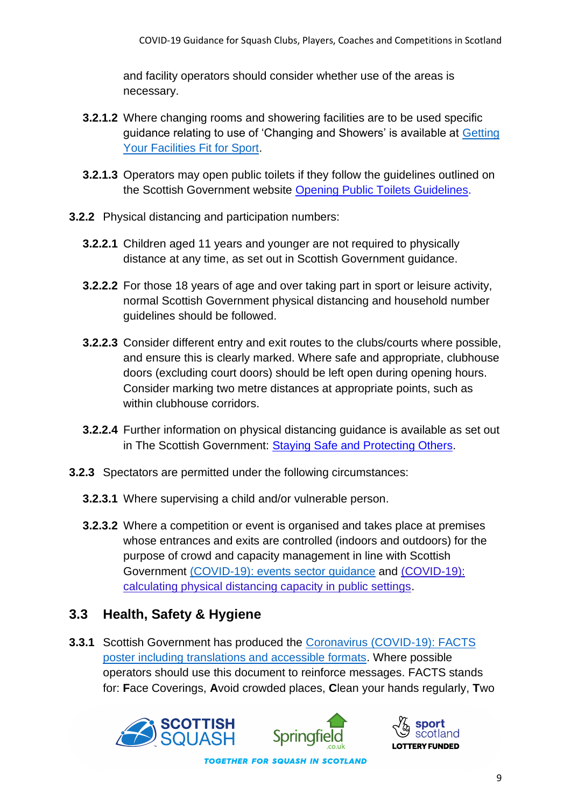and facility operators should consider whether use of the areas is necessary.

- **3.2.1.2** Where changing rooms and showering facilities are to be used specific guidance relating to use of 'Changing and Showers' is available at [Getting](http://www.sportscotland.org.uk/covid-19/getting-your-facilities-fit-for-sport/)  [Your Facilities Fit for Sport.](http://www.sportscotland.org.uk/covid-19/getting-your-facilities-fit-for-sport/)
- **3.2.1.3** Operators may open public toilets if they follow the guidelines outlined on the Scottish Government website [Opening Public Toilets Guidelines.](http://www.gov.scot/publications/coronavirus-covid-19-public-and-customer-toilets-guidance/pages/overview/)
- **3.2.2** Physical distancing and participation numbers:
	- **3.2.2.1** Children aged 11 years and younger are not required to physically distance at any time, as set out in Scottish Government guidance.
	- **3.2.2.2** For those 18 years of age and over taking part in sport or leisure activity, normal Scottish Government physical distancing and household number guidelines should be followed.
	- **3.2.2.3** Consider different entry and exit routes to the clubs/courts where possible, and ensure this is clearly marked. Where safe and appropriate, clubhouse doors (excluding court doors) should be left open during opening hours. Consider marking two metre distances at appropriate points, such as within clubhouse corridors.
	- **3.2.2.4** Further information on physical distancing guidance is available as set out in The Scottish Government: [Staying Safe and Protecting Others.](http://www.gov.scot/publications/coronavirus-covid-19-phase-2-staying-safe-and-protecting-others/)
- **3.2.3** Spectators are permitted under the following circumstances:
	- **3.2.3.1** Where supervising a child and/or vulnerable person.
	- **3.2.3.2** Where a competition or event is organised and takes place at premises whose entrances and exits are controlled (indoors and outdoors) for the purpose of crowd and capacity management in line with Scottish Government [\(COVID-19\): events sector guidance](https://protect-eu.mimecast.com/s/FciKCk50qulxM1fQ2ibV?domain=gov.scot/) and [\(COVID-19\):](https://protect-eu.mimecast.com/s/P4KmClO9rHGQBpiqO5s9?domain=gov.scot/)  [calculating physical distancing capacity in public settings.](https://protect-eu.mimecast.com/s/P4KmClO9rHGQBpiqO5s9?domain=gov.scot/)

#### **3.3 Health, Safety & Hygiene**

**3.3.1** Scottish Government has produced the [Coronavirus \(COVID-19\): FACTS](https://www.gov.scot/binaries/content/documents/govscot/publications/advice-and-guidance/2020/08/coronavirus-covid-19-facts-poster-translations/documents/english/english/govscot%3Adocument/20-21%2B-%2BCoronavirus%2B-%2BTranslations%2B-%2BFACTS%2BPoster%2B-%2BEnglish%2B-%2B9%2BJuly%2B2020.pdf?forceDownload=true)  [poster including translations and accessible formats.](https://www.gov.scot/binaries/content/documents/govscot/publications/advice-and-guidance/2020/08/coronavirus-covid-19-facts-poster-translations/documents/english/english/govscot%3Adocument/20-21%2B-%2BCoronavirus%2B-%2BTranslations%2B-%2BFACTS%2BPoster%2B-%2BEnglish%2B-%2B9%2BJuly%2B2020.pdf?forceDownload=true) Where possible operators should use this document to reinforce messages. FACTS stands for: **F**ace Coverings, **A**void crowded places, **C**lean your hands regularly, **T**wo





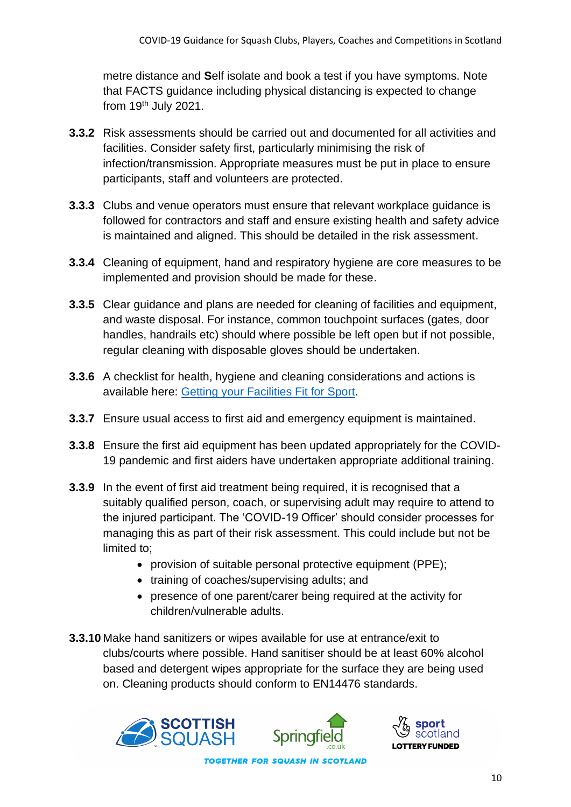metre distance and **S**elf isolate and book a test if you have symptoms. Note that FACTS guidance including physical distancing is expected to change from  $19<sup>th</sup>$  July 2021.

- **3.3.2** Risk assessments should be carried out and documented for all activities and facilities. Consider safety first, particularly minimising the risk of infection/transmission. Appropriate measures must be put in place to ensure participants, staff and volunteers are protected.
- **3.3.3** Clubs and venue operators must ensure that relevant workplace quidance is followed for contractors and staff and ensure existing health and safety advice is maintained and aligned. This should be detailed in the risk assessment.
- **3.3.4** Cleaning of equipment, hand and respiratory hygiene are core measures to be implemented and provision should be made for these.
- **3.3.5** Clear guidance and plans are needed for cleaning of facilities and equipment, and waste disposal. For instance, common touchpoint surfaces (gates, door handles, handrails etc) should where possible be left open but if not possible, regular cleaning with disposable gloves should be undertaken.
- **3.3.6** A checklist for health, hygiene and cleaning considerations and actions is available here: [Getting your Facilities Fit for Sport.](http://www.sportscotland.org.uk/covid-19/getting-your-facilities-fit-for-sport/)
- **3.3.7** Ensure usual access to first aid and emergency equipment is maintained.
- **3.3.8** Ensure the first aid equipment has been updated appropriately for the COVID-19 pandemic and first aiders have undertaken appropriate additional training.
- **3.3.9** In the event of first aid treatment being required, it is recognised that a suitably qualified person, coach, or supervising adult may require to attend to the injured participant. The 'COVID-19 Officer' should consider processes for managing this as part of their risk assessment. This could include but not be limited to;
	- provision of suitable personal protective equipment (PPE);
	- training of coaches/supervising adults; and
	- presence of one parent/carer being required at the activity for children/vulnerable adults.
- **3.3.10** Make hand sanitizers or wipes available for use at entrance/exit to clubs/courts where possible. Hand sanitiser should be at least 60% alcohol based and detergent wipes appropriate for the surface they are being used on. Cleaning products should conform to EN14476 standards.



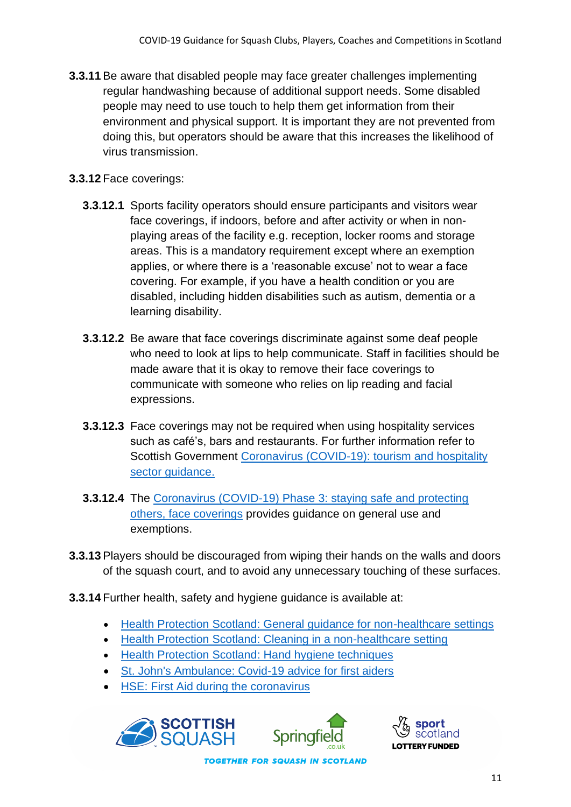**3.3.11**Be aware that disabled people may face greater challenges implementing regular handwashing because of additional support needs. Some disabled people may need to use touch to help them get information from their environment and physical support. It is important they are not prevented from doing this, but operators should be aware that this increases the likelihood of virus transmission.

#### **3.3.12** Face coverings:

- **3.3.12.1** Sports facility operators should ensure participants and visitors wear face coverings, if indoors, before and after activity or when in nonplaying areas of the facility e.g. reception, locker rooms and storage areas. This is a mandatory requirement except where an exemption applies, or where there is a 'reasonable excuse' not to wear a face covering. For example, if you have a health condition or you are disabled, including hidden disabilities such as autism, dementia or a learning disability.
- **3.3.12.2** Be aware that face coverings discriminate against some deaf people who need to look at lips to help communicate. Staff in facilities should be made aware that it is okay to remove their face coverings to communicate with someone who relies on lip reading and facial expressions.
- **3.3.12.3** Face coverings may not be required when using hospitality services such as café's, bars and restaurants. For further information refer to Scottish Government [Coronavirus \(COVID-19\): tourism and hospitality](http://www.gov.scot/publications/coronavirus-covid-19-tourism-and-hospitality-sector-guidance/pages/hospitality-statutory-guidance/)  [sector guidance.](http://www.gov.scot/publications/coronavirus-covid-19-tourism-and-hospitality-sector-guidance/pages/hospitality-statutory-guidance/)
- **3.3.12.4** The [Coronavirus \(COVID-19\) Phase 3: staying safe and protecting](https://www.gov.scot/publications/coronavirus-covid-19-phase-3-staying-safe-and-protecting-others/pages/face-coverings/)  [others, face coverings](https://www.gov.scot/publications/coronavirus-covid-19-phase-3-staying-safe-and-protecting-others/pages/face-coverings/) provides guidance on general use and exemptions.
- **3.3.13**Players should be discouraged from wiping their hands on the walls and doors of the squash court, and to avoid any unnecessary touching of these surfaces.
- **3.3.14** Further health, safety and hygiene guidance is available at:
	- [Health Protection Scotland: General guidance for non-healthcare settings](http://www.hps.scot.nhs.uk/web-resources-container/covid-19-guidance-for-non-healthcare-settings/)
	- [Health Protection Scotland: Cleaning in a non-healthcare setting](http://www.gov.uk/government/publications/covid-19-decontamination-in-non-healthcare-settings/covid-19-decontamination-in-non-healthcare-settings)
	- [Health Protection Scotland: Hand hygiene techniques](http://www.hps.scot.nhs.uk/a-to-z-of-topics/hand-hygiene/)
	- [St. John's Ambulance: Covid-19 advice for first aiders](http://www.sja.org.uk/get-advice/first-aid-advice/covid-19-advice-for-first-aiders/)
	- [HSE: First Aid during the coronavirus](http://www.hse.gov.uk/coronavirus/first-aid-and-medicals/first-aid-certificate-coronavirus.htm)





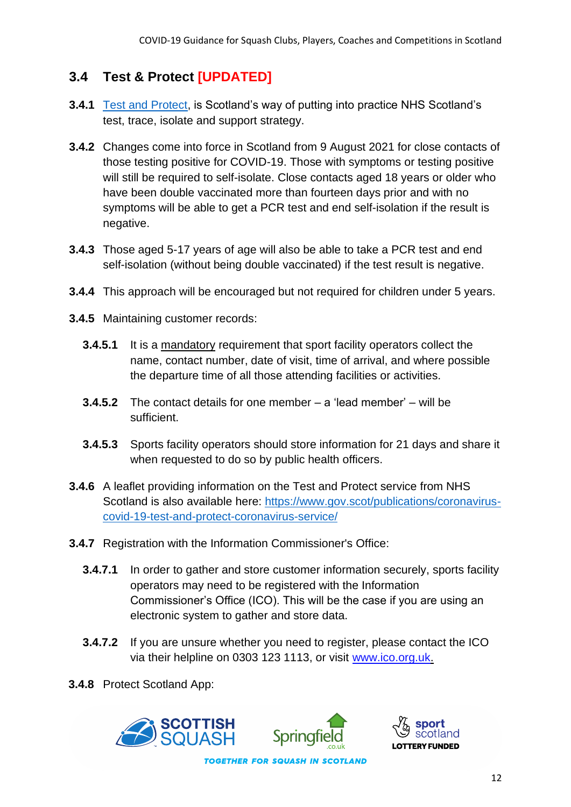### **3.4 Test & Protect [UPDATED]**

- **3.4.1** [Test and Protect,](https://www.nhsinform.scot/campaigns/test-and-protect) is Scotland's way of putting into practice NHS Scotland's test, trace, isolate and support strategy.
- **3.4.2** Changes come into force in Scotland from 9 August 2021 for close contacts of those testing positive for COVID-19. Those with symptoms or testing positive will still be required to self-isolate. Close contacts aged 18 years or older who have been double vaccinated more than fourteen days prior and with no symptoms will be able to get a PCR test and end self-isolation if the result is negative.
- **3.4.3** Those aged 5-17 years of age will also be able to take a PCR test and end self-isolation (without being double vaccinated) if the test result is negative.
- **3.4.4** This approach will be encouraged but not required for children under 5 years.
- **3.4.5** Maintaining customer records:
	- **3.4.5.1** It is a mandatory requirement that sport facility operators collect the name, contact number, date of visit, time of arrival, and where possible the departure time of all those attending facilities or activities.
	- **3.4.5.2** The contact details for one member a 'lead member' will be sufficient.
	- **3.4.5.3** Sports facility operators should store information for 21 days and share it when requested to do so by public health officers.
- **3.4.6** A leaflet providing information on the Test and Protect service from NHS Scotland is also available here: [https://www.gov.scot/publications/coronavirus](https://www.gov.scot/publications/coronavirus-covid-19-test-and-protect-coronavirus-service/)[covid-19-test-and-protect-coronavirus-service/](https://www.gov.scot/publications/coronavirus-covid-19-test-and-protect-coronavirus-service/)
- **3.4.7** Registration with the Information Commissioner's Office:
	- **3.4.7.1** In order to gather and store customer information securely, sports facility operators may need to be registered with the Information Commissioner's Office (ICO). This will be the case if you are using an electronic system to gather and store data.
	- **3.4.7.2** If you are unsure whether you need to register, please contact the ICO via their helpline on 0303 123 1113, or visit [www.ico.org.uk.](http://www.ico.org.uk/)
- **3.4.8** Protect Scotland App:



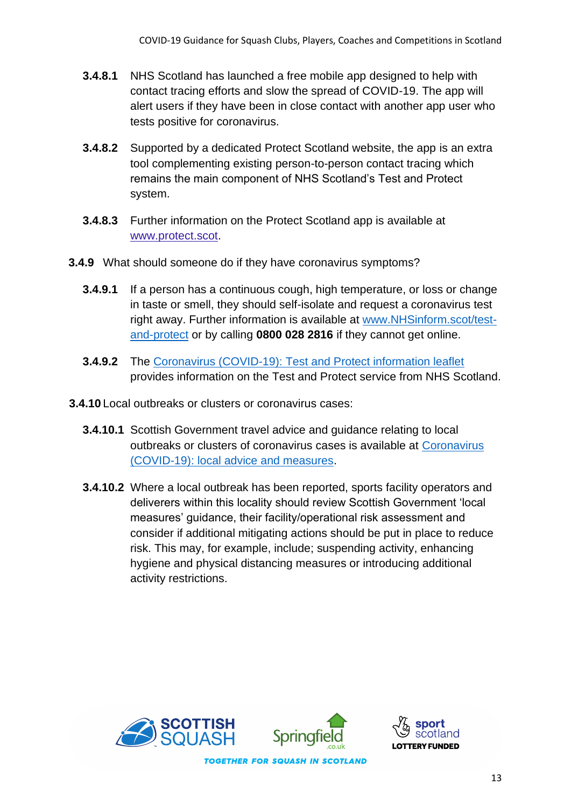- **3.4.8.1** NHS Scotland has launched a free mobile app designed to help with contact tracing efforts and slow the spread of COVID-19. The app will alert users if they have been in close contact with another app user who tests positive for coronavirus.
- **3.4.8.2** Supported by a dedicated Protect Scotland website, the app is an extra tool complementing existing person-to-person contact tracing which remains the main component of NHS Scotland's Test and Protect system.
- **3.4.8.3** Further information on the Protect Scotland app is available at [www.protect.scot.](http://www.protect.scot/)
- **3.4.9** What should someone do if they have coronavirus symptoms?
	- **3.4.9.1** If a person has a continuous cough, high temperature, or loss or change in taste or smell, they should self-isolate and request a coronavirus test right away. Further information is available at [www.NHSinform.scot/test](http://www.nhsinform.scot/test-and-protect)[and-protect](http://www.nhsinform.scot/test-and-protect) or by calling **0800 028 2816** if they cannot get online.
	- **3.4.9.2** The [Coronavirus \(COVID-19\): Test and Protect information leaflet](https://www.gov.scot/publications/coronavirus-covid-19-test-and-protect-coronavirus-service/) provides information on the Test and Protect service from NHS Scotland.
- **3.4.10** Local outbreaks or clusters or coronavirus cases:
	- **3.4.10.1** Scottish Government travel advice and guidance relating to local outbreaks or clusters of coronavirus cases is available at [Coronavirus](http://www.gov.scot/publications/coronavirus-covid-19-local-measures/)  [\(COVID-19\): local advice and measures.](http://www.gov.scot/publications/coronavirus-covid-19-local-measures/)
	- **3.4.10.2** Where a local outbreak has been reported, sports facility operators and deliverers within this locality should review Scottish Government 'local measures' guidance, their facility/operational risk assessment and consider if additional mitigating actions should be put in place to reduce risk. This may, for example, include; suspending activity, enhancing hygiene and physical distancing measures or introducing additional activity restrictions.

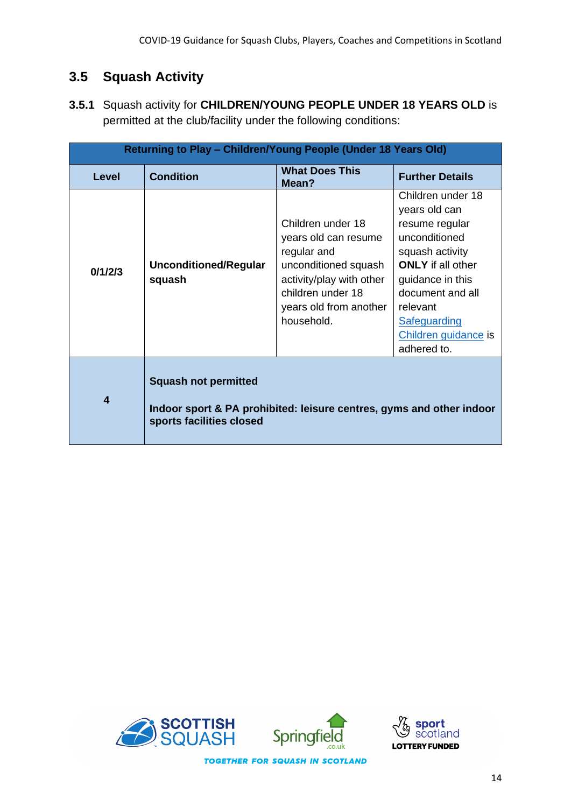# **3.5 Squash Activity**

**3.5.1** Squash activity for **CHILDREN/YOUNG PEOPLE UNDER 18 YEARS OLD** is permitted at the club/facility under the following conditions:

| Returning to Play - Children/Young People (Under 18 Years Old) |                                                                                                                                 |                                                                                                                                                                           |                                                                                                                                                                                                                                 |
|----------------------------------------------------------------|---------------------------------------------------------------------------------------------------------------------------------|---------------------------------------------------------------------------------------------------------------------------------------------------------------------------|---------------------------------------------------------------------------------------------------------------------------------------------------------------------------------------------------------------------------------|
| <b>Level</b>                                                   | <b>Condition</b>                                                                                                                | <b>What Does This</b><br>Mean?                                                                                                                                            | <b>Further Details</b>                                                                                                                                                                                                          |
| 0/1/2/3                                                        | <b>Unconditioned/Regular</b><br>squash                                                                                          | Children under 18<br>years old can resume<br>regular and<br>unconditioned squash<br>activity/play with other<br>children under 18<br>years old from another<br>household. | Children under 18<br>years old can<br>resume regular<br>unconditioned<br>squash activity<br><b>ONLY</b> if all other<br>guidance in this<br>document and all<br>relevant<br>Safeguarding<br>Children guidance is<br>adhered to. |
| 4                                                              | <b>Squash not permitted</b><br>Indoor sport & PA prohibited: leisure centres, gyms and other indoor<br>sports facilities closed |                                                                                                                                                                           |                                                                                                                                                                                                                                 |



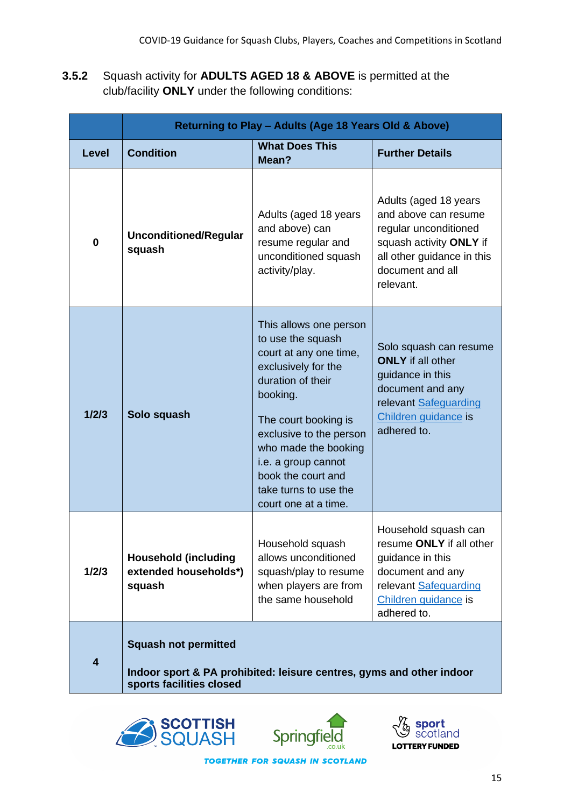**3.5.2** Squash activity for **ADULTS AGED 18 & ABOVE** is permitted at the club/facility **ONLY** under the following conditions:

|              | Returning to Play - Adults (Age 18 Years Old & Above)                                                                           |                                                                                                                                                                                                                                                                                                        |                                                                                                                                                                  |  |
|--------------|---------------------------------------------------------------------------------------------------------------------------------|--------------------------------------------------------------------------------------------------------------------------------------------------------------------------------------------------------------------------------------------------------------------------------------------------------|------------------------------------------------------------------------------------------------------------------------------------------------------------------|--|
| <b>Level</b> | <b>Condition</b>                                                                                                                | <b>What Does This</b><br>Mean?                                                                                                                                                                                                                                                                         | <b>Further Details</b>                                                                                                                                           |  |
| $\bf{0}$     | <b>Unconditioned/Regular</b><br>squash                                                                                          | Adults (aged 18 years<br>and above) can<br>resume regular and<br>unconditioned squash<br>activity/play.                                                                                                                                                                                                | Adults (aged 18 years<br>and above can resume<br>regular unconditioned<br>squash activity ONLY if<br>all other guidance in this<br>document and all<br>relevant. |  |
| 1/2/3        | Solo squash                                                                                                                     | This allows one person<br>to use the squash<br>court at any one time,<br>exclusively for the<br>duration of their<br>booking.<br>The court booking is<br>exclusive to the person<br>who made the booking<br>i.e. a group cannot<br>book the court and<br>take turns to use the<br>court one at a time. | Solo squash can resume<br><b>ONLY</b> if all other<br>guidance in this<br>document and any<br>relevant Safeguarding<br>Children guidance is<br>adhered to.       |  |
| 1/2/3        | <b>Household (including</b><br>extended households*)<br>squash                                                                  | Household squash<br>allows unconditioned<br>squash/play to resume<br>when players are from<br>the same household                                                                                                                                                                                       | Household squash can<br>resume ONLY if all other<br>guidance in this<br>document and any<br>relevant Safeguarding<br>Children guidance is<br>adhered to.         |  |
| 4            | <b>Squash not permitted</b><br>Indoor sport & PA prohibited: leisure centres, gyms and other indoor<br>sports facilities closed |                                                                                                                                                                                                                                                                                                        |                                                                                                                                                                  |  |





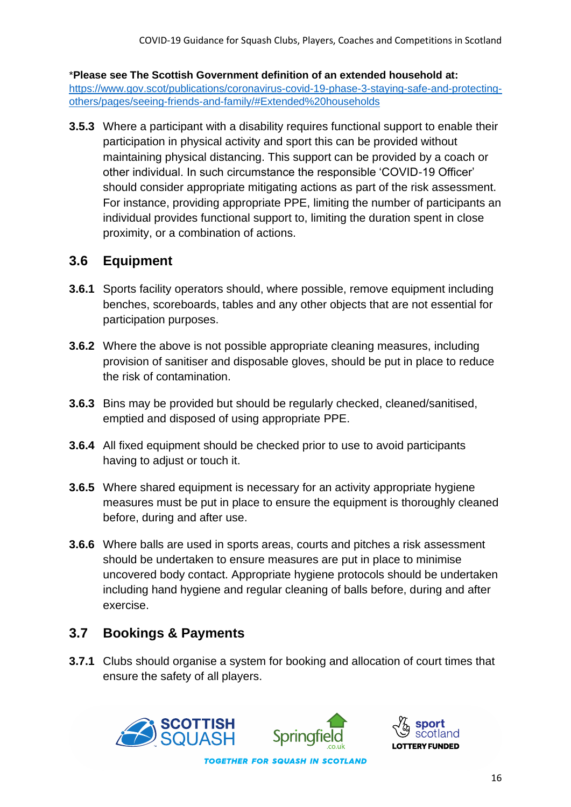\***Please see The Scottish Government definition of an extended household at:**  [https://www.gov.scot/publications/coronavirus-covid-19-phase-3-staying-safe-and-protecting](https://www.gov.scot/publications/coronavirus-covid-19-phase-3-staying-safe-and-protecting-others/pages/seeing-friends-and-family/#Extended%20households)[others/pages/seeing-friends-and-family/#Extended%20households](https://www.gov.scot/publications/coronavirus-covid-19-phase-3-staying-safe-and-protecting-others/pages/seeing-friends-and-family/#Extended%20households)

**3.5.3** Where a participant with a disability requires functional support to enable their participation in physical activity and sport this can be provided without maintaining physical distancing. This support can be provided by a coach or other individual. In such circumstance the responsible 'COVID-19 Officer' should consider appropriate mitigating actions as part of the risk assessment. For instance, providing appropriate PPE, limiting the number of participants an individual provides functional support to, limiting the duration spent in close proximity, or a combination of actions.

#### **3.6 Equipment**

- **3.6.1** Sports facility operators should, where possible, remove equipment including benches, scoreboards, tables and any other objects that are not essential for participation purposes.
- **3.6.2** Where the above is not possible appropriate cleaning measures, including provision of sanitiser and disposable gloves, should be put in place to reduce the risk of contamination.
- **3.6.3** Bins may be provided but should be regularly checked, cleaned/sanitised, emptied and disposed of using appropriate PPE.
- **3.6.4** All fixed equipment should be checked prior to use to avoid participants having to adjust or touch it.
- **3.6.5** Where shared equipment is necessary for an activity appropriate hygiene measures must be put in place to ensure the equipment is thoroughly cleaned before, during and after use.
- **3.6.6** Where balls are used in sports areas, courts and pitches a risk assessment should be undertaken to ensure measures are put in place to minimise uncovered body contact. Appropriate hygiene protocols should be undertaken including hand hygiene and regular cleaning of balls before, during and after exercise.

# **3.7 Bookings & Payments**

**3.7.1** Clubs should organise a system for booking and allocation of court times that ensure the safety of all players.



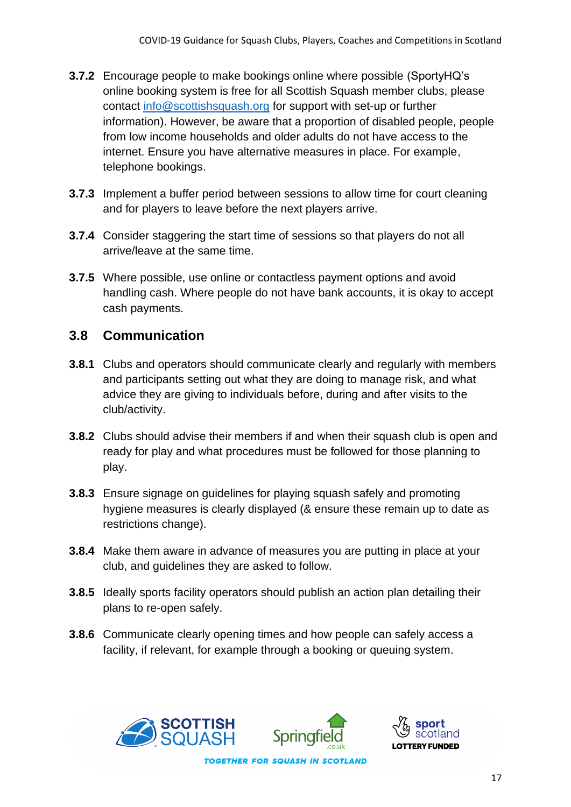- **3.7.2** Encourage people to make bookings online where possible (SportyHQ's online booking system is free for all Scottish Squash member clubs, please contact [info@scottishsquash.org](mailto:info@scottishsquash.org) for support with set-up or further information). However, be aware that a proportion of disabled people, people from low income households and older adults do not have access to the internet. Ensure you have alternative measures in place. For example, telephone bookings.
- **3.7.3** Implement a buffer period between sessions to allow time for court cleaning and for players to leave before the next players arrive.
- **3.7.4** Consider staggering the start time of sessions so that players do not all arrive/leave at the same time.
- **3.7.5** Where possible, use online or contactless payment options and avoid handling cash. Where people do not have bank accounts, it is okay to accept cash payments.

#### **3.8 Communication**

- **3.8.1** Clubs and operators should communicate clearly and regularly with members and participants setting out what they are doing to manage risk, and what advice they are giving to individuals before, during and after visits to the club/activity.
- **3.8.2** Clubs should advise their members if and when their squash club is open and ready for play and what procedures must be followed for those planning to play.
- **3.8.3** Ensure signage on guidelines for playing squash safely and promoting hygiene measures is clearly displayed (& ensure these remain up to date as restrictions change).
- **3.8.4** Make them aware in advance of measures you are putting in place at your club, and guidelines they are asked to follow.
- **3.8.5** Ideally sports facility operators should publish an action plan detailing their plans to re-open safely.
- **3.8.6** Communicate clearly opening times and how people can safely access a facility, if relevant, for example through a booking or queuing system.





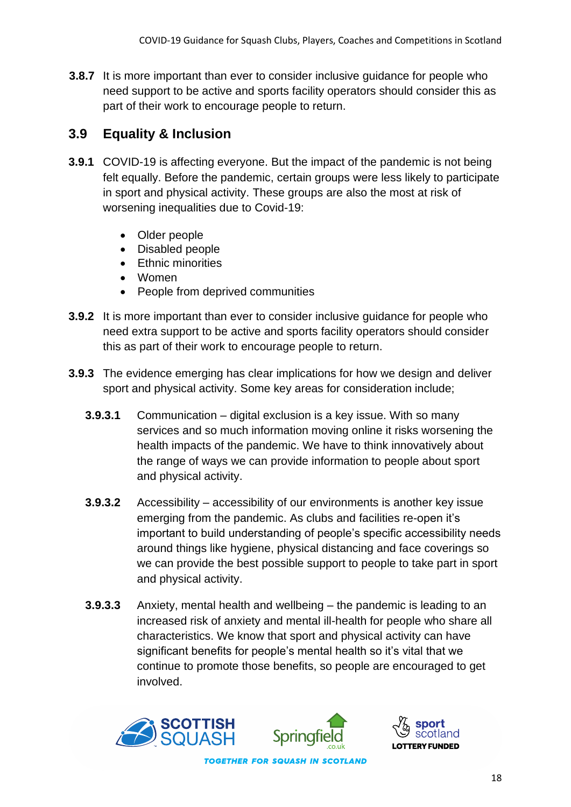**3.8.7** It is more important than ever to consider inclusive guidance for people who need support to be active and sports facility operators should consider this as part of their work to encourage people to return.

### **3.9 Equality & Inclusion**

- **3.9.1** COVID-19 is affecting everyone. But the impact of the pandemic is not being felt equally. Before the pandemic, certain groups were less likely to participate in sport and physical activity. These groups are also the most at risk of worsening inequalities due to Covid-19:
	- Older people
	- Disabled people
	- Ethnic minorities
	- Women
	- People from deprived communities
- **3.9.2** It is more important than ever to consider inclusive guidance for people who need extra support to be active and sports facility operators should consider this as part of their work to encourage people to return.
- **3.9.3** The evidence emerging has clear implications for how we design and deliver sport and physical activity. Some key areas for consideration include;
	- **3.9.3.1** Communication digital exclusion is a key issue. With so many services and so much information moving online it risks worsening the health impacts of the pandemic. We have to think innovatively about the range of ways we can provide information to people about sport and physical activity.
	- **3.9.3.2** Accessibility accessibility of our environments is another key issue emerging from the pandemic. As clubs and facilities re-open it's important to build understanding of people's specific accessibility needs around things like hygiene, physical distancing and face coverings so we can provide the best possible support to people to take part in sport and physical activity.
	- **3.9.3.3** Anxiety, mental health and wellbeing the pandemic is leading to an increased risk of anxiety and mental ill-health for people who share all characteristics. We know that sport and physical activity can have significant benefits for people's mental health so it's vital that we continue to promote those benefits, so people are encouraged to get involved.





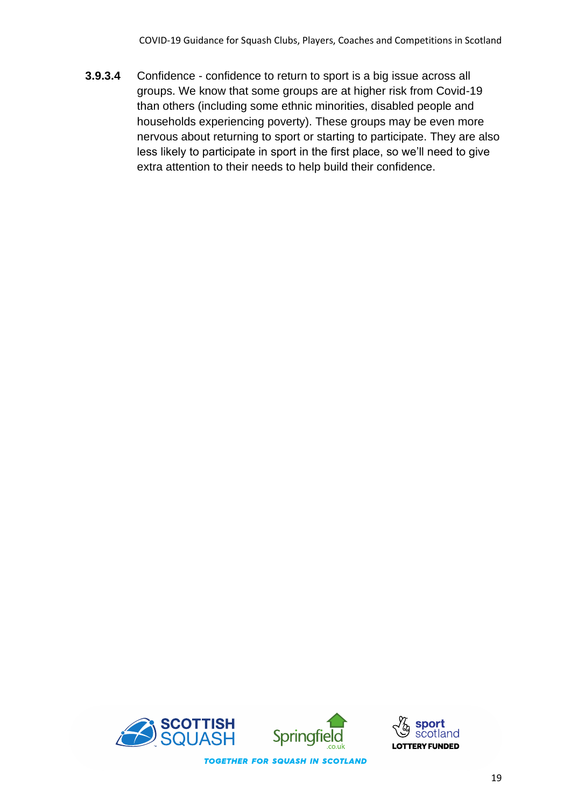**3.9.3.4** Confidence - confidence to return to sport is a big issue across all groups. We know that some groups are at higher risk from Covid-19 than others (including some ethnic minorities, disabled people and households experiencing poverty). These groups may be even more nervous about returning to sport or starting to participate. They are also less likely to participate in sport in the first place, so we'll need to give extra attention to their needs to help build their confidence.



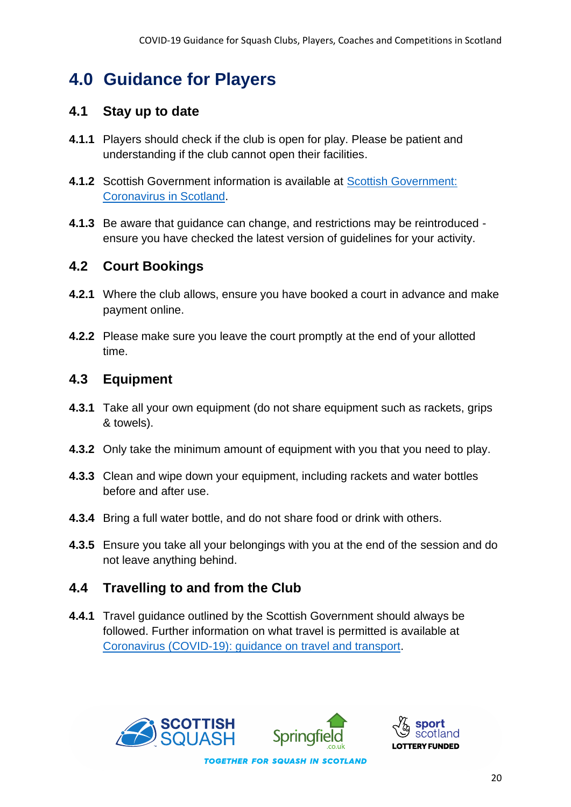# **4.0 Guidance for Players**

#### **4.1 Stay up to date**

- **4.1.1** Players should check if the club is open for play. Please be patient and understanding if the club cannot open their facilities.
- **4.1.2** Scottish Government information is available at [Scottish Government:](https://www.gov.scot/coronavirus-covid-19/) [Coronavirus in Scotland.](https://www.gov.scot/coronavirus-covid-19/)
- **4.1.3** Be aware that guidance can change, and restrictions may be reintroduced ensure you have checked the latest version of guidelines for your activity.

#### **4.2 Court Bookings**

- **4.2.1** Where the club allows, ensure you have booked a court in advance and make payment online.
- **4.2.2** Please make sure you leave the court promptly at the end of your allotted time.

#### **4.3 Equipment**

- **4.3.1** Take all your own equipment (do not share equipment such as rackets, grips & towels).
- **4.3.2** Only take the minimum amount of equipment with you that you need to play.
- **4.3.3** Clean and wipe down your equipment, including rackets and water bottles before and after use.
- **4.3.4** Bring a full water bottle, and do not share food or drink with others.
- **4.3.5** Ensure you take all your belongings with you at the end of the session and do not leave anything behind.

# **4.4 Travelling to and from the Club**

**4.4.1** Travel guidance outlined by the Scottish Government should always be followed. Further information on what travel is permitted is available at [Coronavirus \(COVID-19\): guidance on travel and transport.](https://www.gov.scot/publications/coronavirus-covid-19-guidance-on-travel-and-transport/)



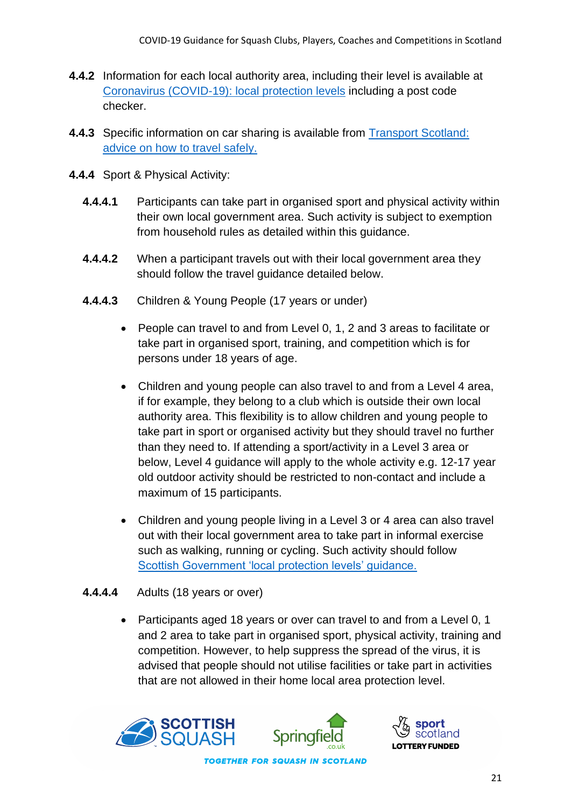- **4.4.2** Information for each local authority area, including their level is available at [Coronavirus \(COVID-19\): local protection levels](https://www.gov.scot/publications/coronavirus-covid-19-protection-levels/) including a post code checker.
- **4.4.3** Specific information on car sharing is available from [Transport Scotland:](https://www.transport.gov.scot/coronavirus-covid-19/transport-transition-plan/advice-on-how-to-travel-safely/#section-63888)  [advice on how to travel safely.](https://www.transport.gov.scot/coronavirus-covid-19/transport-transition-plan/advice-on-how-to-travel-safely/#section-63888)
- **4.4.4** Sport & Physical Activity:
	- **4.4.4.1** Participants can take part in organised sport and physical activity within their own local government area. Such activity is subject to exemption from household rules as detailed within this guidance.
	- **4.4.4.2** When a participant travels out with their local government area they should follow the travel guidance detailed below.
	- **4.4.4.3** Children & Young People (17 years or under)
		- People can travel to and from Level 0, 1, 2 and 3 areas to facilitate or take part in organised sport, training, and competition which is for persons under 18 years of age.
		- Children and young people can also travel to and from a Level 4 area, if for example, they belong to a club which is outside their own local authority area. This flexibility is to allow children and young people to take part in sport or organised activity but they should travel no further than they need to. If attending a sport/activity in a Level 3 area or below, Level 4 guidance will apply to the whole activity e.g. 12-17 year old outdoor activity should be restricted to non-contact and include a maximum of 15 participants.
		- Children and young people living in a Level 3 or 4 area can also travel out with their local government area to take part in informal exercise such as walking, running or cycling. Such activity should follow [Scottish Government 'local protection levels' guidance.](https://www.gov.scot/publications/coronavirus-covid-19-protection-levels/pages/protection-levels-by-area/)

#### **4.4.4.4** Adults (18 years or over)

• Participants aged 18 years or over can travel to and from a Level 0, 1 and 2 area to take part in organised sport, physical activity, training and competition. However, to help suppress the spread of the virus, it is advised that people should not utilise facilities or take part in activities that are not allowed in their home local area protection level.





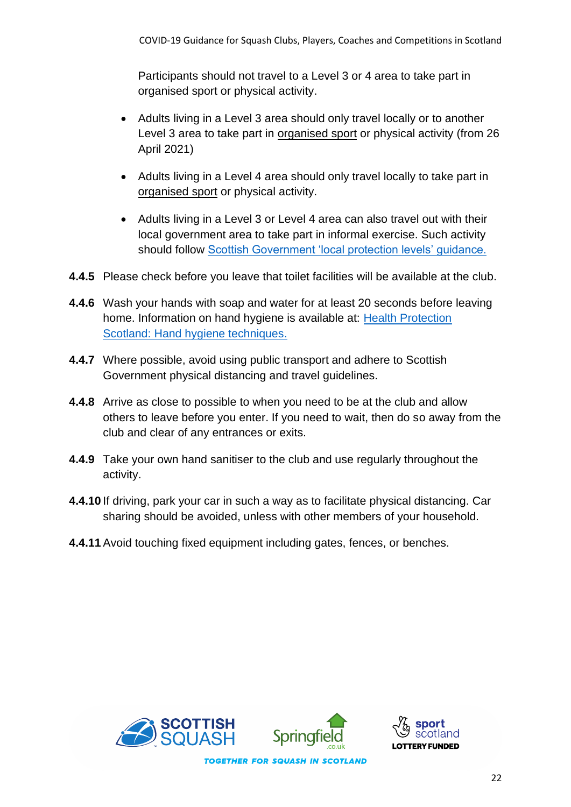Participants should not travel to a Level 3 or 4 area to take part in organised sport or physical activity.

- Adults living in a Level 3 area should only travel locally or to another Level 3 area to take part in organised sport or physical activity (from 26 April 2021)
- Adults living in a Level 4 area should only travel locally to take part in organised sport or physical activity.
- Adults living in a Level 3 or Level 4 area can also travel out with their local government area to take part in informal exercise. Such activity should follow [Scottish Government 'local protection levels' guidance.](https://www.gov.scot/publications/coronavirus-covid-19-protection-levels/pages/protection-levels-by-area/)
- **4.4.5** Please check before you leave that toilet facilities will be available at the club.
- **4.4.6** Wash your hands with soap and water for at least 20 seconds before leaving home. Information on hand hygiene is available at: [Health Protection](http://www.hps.scot.nhs.uk/a-to-z-of-topics/hand-hygiene/)  [Scotland: Hand hygiene techniques.](http://www.hps.scot.nhs.uk/a-to-z-of-topics/hand-hygiene/)
- **4.4.7** Where possible, avoid using public transport and adhere to Scottish Government physical distancing and travel guidelines.
- **4.4.8** Arrive as close to possible to when you need to be at the club and allow others to leave before you enter. If you need to wait, then do so away from the club and clear of any entrances or exits.
- **4.4.9** Take your own hand sanitiser to the club and use regularly throughout the activity.
- **4.4.10** If driving, park your car in such a way as to facilitate physical distancing. Car sharing should be avoided, unless with other members of your household.
- **4.4.11**Avoid touching fixed equipment including gates, fences, or benches.

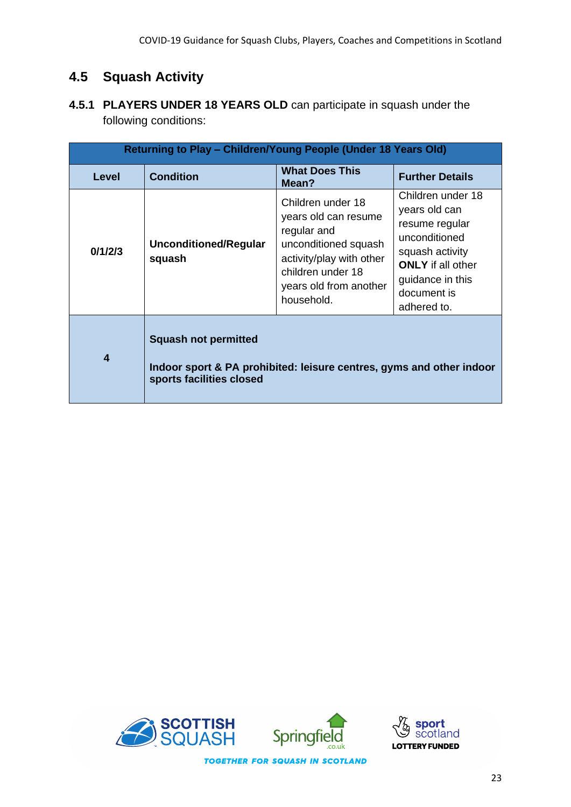#### **4.5 Squash Activity**

**4.5.1 PLAYERS UNDER 18 YEARS OLD** can participate in squash under the following conditions:

| Returning to Play - Children/Young People (Under 18 Years Old) |                                                                                                                                 |                                                                                                                                                                           |                                                                                                                                                                        |
|----------------------------------------------------------------|---------------------------------------------------------------------------------------------------------------------------------|---------------------------------------------------------------------------------------------------------------------------------------------------------------------------|------------------------------------------------------------------------------------------------------------------------------------------------------------------------|
| <b>Level</b>                                                   | <b>Condition</b>                                                                                                                | <b>What Does This</b><br>Mean?                                                                                                                                            | <b>Further Details</b>                                                                                                                                                 |
| 0/1/2/3                                                        | Unconditioned/Regular<br>squash                                                                                                 | Children under 18<br>years old can resume<br>regular and<br>unconditioned squash<br>activity/play with other<br>children under 18<br>years old from another<br>household. | Children under 18<br>years old can<br>resume regular<br>unconditioned<br>squash activity<br><b>ONLY</b> if all other<br>guidance in this<br>document is<br>adhered to. |
| $\boldsymbol{4}$                                               | <b>Squash not permitted</b><br>Indoor sport & PA prohibited: leisure centres, gyms and other indoor<br>sports facilities closed |                                                                                                                                                                           |                                                                                                                                                                        |



snort

and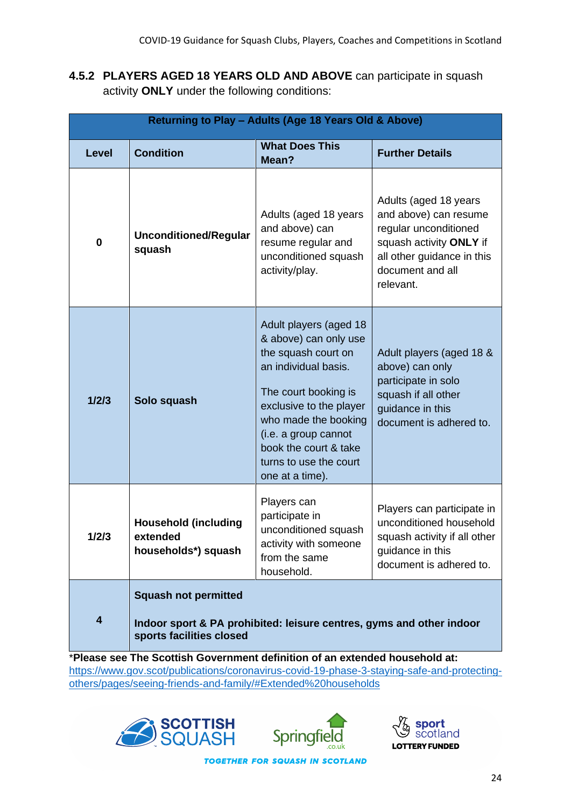**4.5.2 PLAYERS AGED 18 YEARS OLD AND ABOVE** can participate in squash activity **ONLY** under the following conditions:

| Returning to Play - Adults (Age 18 Years Old & Above) |                                                                                                                                 |                                                                                                                                                                                                                                                                         |                                                                                                                                                                   |
|-------------------------------------------------------|---------------------------------------------------------------------------------------------------------------------------------|-------------------------------------------------------------------------------------------------------------------------------------------------------------------------------------------------------------------------------------------------------------------------|-------------------------------------------------------------------------------------------------------------------------------------------------------------------|
| <b>Level</b>                                          | <b>Condition</b>                                                                                                                | <b>What Does This</b><br>Mean?                                                                                                                                                                                                                                          | <b>Further Details</b>                                                                                                                                            |
| $\bf{0}$                                              | <b>Unconditioned/Regular</b><br>squash                                                                                          | Adults (aged 18 years<br>and above) can<br>resume regular and<br>unconditioned squash<br>activity/play.                                                                                                                                                                 | Adults (aged 18 years<br>and above) can resume<br>regular unconditioned<br>squash activity ONLY if<br>all other guidance in this<br>document and all<br>relevant. |
| 1/2/3                                                 | Solo squash                                                                                                                     | Adult players (aged 18<br>& above) can only use<br>the squash court on<br>an individual basis.<br>The court booking is<br>exclusive to the player<br>who made the booking<br>(i.e. a group cannot<br>book the court & take<br>turns to use the court<br>one at a time). | Adult players (aged 18 &<br>above) can only<br>participate in solo<br>squash if all other<br>guidance in this<br>document is adhered to.                          |
| 1/2/3                                                 | <b>Household (including</b><br>extended<br>households*) squash                                                                  | Players can<br>participate in<br>unconditioned squash<br>activity with someone<br>from the same<br>household.                                                                                                                                                           | Players can participate in<br>unconditioned household<br>squash activity if all other<br>guidance in this<br>document is adhered to.                              |
| $\overline{\mathbf{4}}$                               | <b>Squash not permitted</b><br>Indoor sport & PA prohibited: leisure centres, gyms and other indoor<br>sports facilities closed |                                                                                                                                                                                                                                                                         |                                                                                                                                                                   |

\***Please see The Scottish Government definition of an extended household at:**  [https://www.gov.scot/publications/coronavirus-covid-19-phase-3-staying-safe-and-protecting](https://www.gov.scot/publications/coronavirus-covid-19-phase-3-staying-safe-and-protecting-others/pages/seeing-friends-and-family/#Extended%20households)[others/pages/seeing-friends-and-family/#Extended%20households](https://www.gov.scot/publications/coronavirus-covid-19-phase-3-staying-safe-and-protecting-others/pages/seeing-friends-and-family/#Extended%20households)





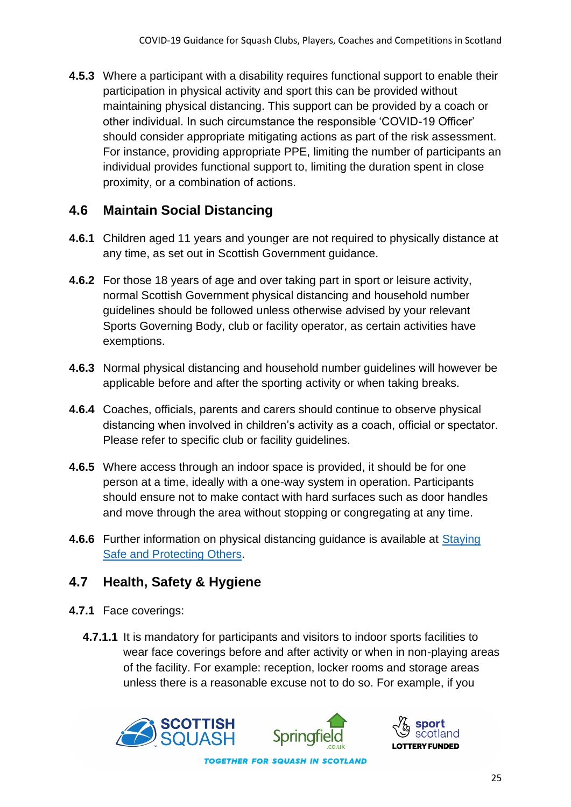**4.5.3** Where a participant with a disability requires functional support to enable their participation in physical activity and sport this can be provided without maintaining physical distancing. This support can be provided by a coach or other individual. In such circumstance the responsible 'COVID-19 Officer' should consider appropriate mitigating actions as part of the risk assessment. For instance, providing appropriate PPE, limiting the number of participants an individual provides functional support to, limiting the duration spent in close proximity, or a combination of actions.

#### **4.6 Maintain Social Distancing**

- **4.6.1** Children aged 11 years and younger are not required to physically distance at any time, as set out in Scottish Government guidance.
- **4.6.2** For those 18 years of age and over taking part in sport or leisure activity, normal Scottish Government physical distancing and household number guidelines should be followed unless otherwise advised by your relevant Sports Governing Body, club or facility operator, as certain activities have exemptions.
- **4.6.3** Normal physical distancing and household number guidelines will however be applicable before and after the sporting activity or when taking breaks.
- **4.6.4** Coaches, officials, parents and carers should continue to observe physical distancing when involved in children's activity as a coach, official or spectator. Please refer to specific club or facility guidelines.
- **4.6.5** Where access through an indoor space is provided, it should be for one person at a time, ideally with a one-way system in operation. Participants should ensure not to make contact with hard surfaces such as door handles and move through the area without stopping or congregating at any time.
- **4.6.6** Further information on physical distancing guidance is available at [Staying](http://www.gov.scot/publications/coronavirus-covid-19-phase-2-staying-safe-and-protecting-others/)  [Safe and Protecting Others.](http://www.gov.scot/publications/coronavirus-covid-19-phase-2-staying-safe-and-protecting-others/)

#### **4.7 Health, Safety & Hygiene**

- **4.7.1** Face coverings:
	- **4.7.1.1** It is mandatory for participants and visitors to indoor sports facilities to wear face coverings before and after activity or when in non-playing areas of the facility. For example: reception, locker rooms and storage areas unless there is a reasonable excuse not to do so. For example, if you





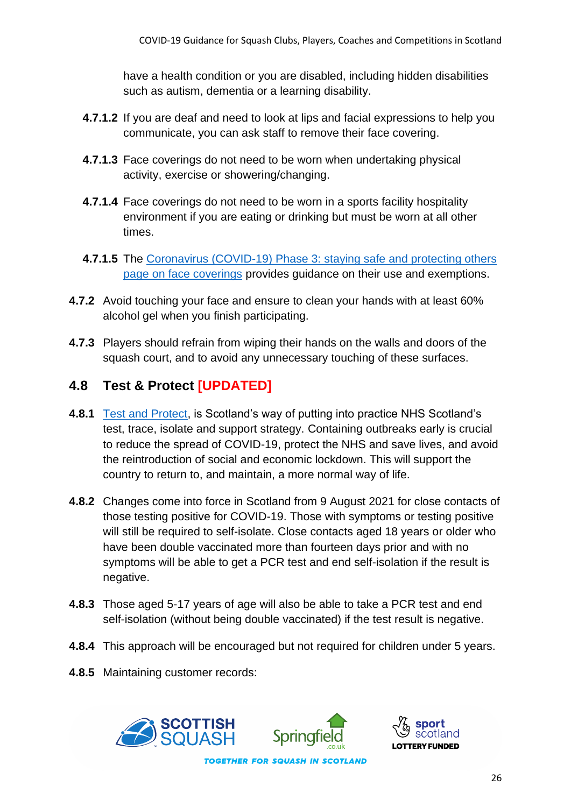have a health condition or you are disabled, including hidden disabilities such as autism, dementia or a learning disability.

- **4.7.1.2** If you are deaf and need to look at lips and facial expressions to help you communicate, you can ask staff to remove their face covering.
- **4.7.1.3** Face coverings do not need to be worn when undertaking physical activity, exercise or showering/changing.
- **4.7.1.4** Face coverings do not need to be worn in a sports facility hospitality environment if you are eating or drinking but must be worn at all other times.
- **4.7.1.5** The Coronavirus (COVID-19) Phase 3: staying safe and protecting others [page on face coverings](https://www.gov.scot/publications/coronavirus-covid-19-phase-3-staying-safe-and-protecting-others/pages/face-coverings/) provides guidance on their use and exemptions.
- **4.7.2** Avoid touching your face and ensure to clean your hands with at least 60% alcohol gel when you finish participating.
- **4.7.3** Players should refrain from wiping their hands on the walls and doors of the squash court, and to avoid any unnecessary touching of these surfaces.

#### **4.8 Test & Protect [UPDATED]**

- **4.8.1** [Test and Protect,](https://www.nhsinform.scot/campaigns/test-and-protect) is Scotland's way of putting into practice NHS Scotland's test, trace, isolate and support strategy. Containing outbreaks early is crucial to reduce the spread of COVID-19, protect the NHS and save lives, and avoid the reintroduction of social and economic lockdown. This will support the country to return to, and maintain, a more normal way of life.
- **4.8.2** Changes come into force in Scotland from 9 August 2021 for close contacts of those testing positive for COVID-19. Those with symptoms or testing positive will still be required to self-isolate. Close contacts aged 18 years or older who have been double vaccinated more than fourteen days prior and with no symptoms will be able to get a PCR test and end self-isolation if the result is negative.
- **4.8.3** Those aged 5-17 years of age will also be able to take a PCR test and end self-isolation (without being double vaccinated) if the test result is negative.
- **4.8.4** This approach will be encouraged but not required for children under 5 years.
- **4.8.5** Maintaining customer records:





26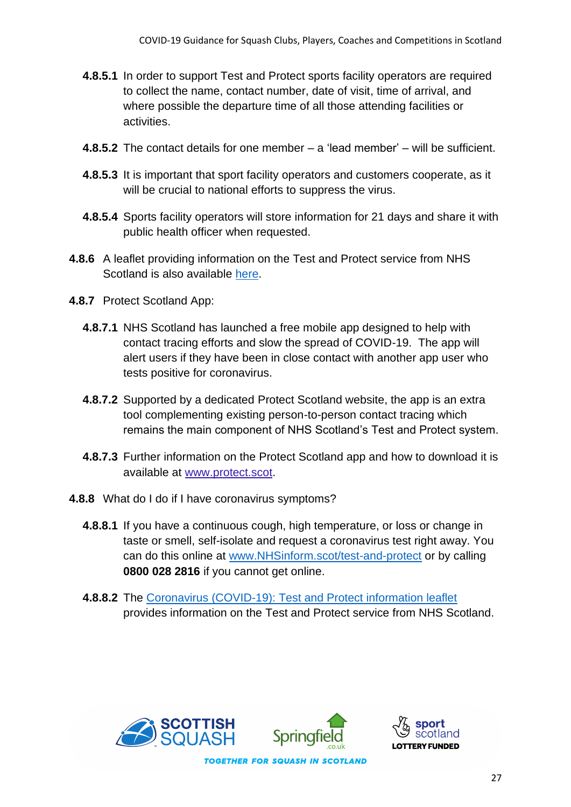- **4.8.5.1** In order to support Test and Protect sports facility operators are required to collect the name, contact number, date of visit, time of arrival, and where possible the departure time of all those attending facilities or activities.
- **4.8.5.2** The contact details for one member a 'lead member' will be sufficient.
- **4.8.5.3** It is important that sport facility operators and customers cooperate, as it will be crucial to national efforts to suppress the virus.
- **4.8.5.4** Sports facility operators will store information for 21 days and share it with public health officer when requested.
- **4.8.6** A leaflet providing information on the Test and Protect service from NHS Scotland is also available [here.](https://www.gov.scot/publications/coronavirus-covid-19-test-and-protect-coronavirus-service/)
- **4.8.7** Protect Scotland App:
	- **4.8.7.1** NHS Scotland has launched a free mobile app designed to help with contact tracing efforts and slow the spread of COVID-19. The app will alert users if they have been in close contact with another app user who tests positive for coronavirus.
	- **4.8.7.2** Supported by a dedicated Protect Scotland website, the app is an extra tool complementing existing person-to-person contact tracing which remains the main component of NHS Scotland's Test and Protect system.
	- **4.8.7.3** Further information on the Protect Scotland app and how to download it is available at [www.protect.scot.](http://www.protect.scot/)
- **4.8.8** What do I do if I have coronavirus symptoms?
	- **4.8.8.1** If you have a continuous cough, high temperature, or loss or change in taste or smell, self-isolate and request a coronavirus test right away. You can do this online at [www.NHSinform.scot/test-and-protect](http://www.nhsinform.scot/test-and-protect) or by calling **0800 028 2816** if you cannot get online.
	- **4.8.8.2** The [Coronavirus \(COVID-19\): Test and Protect information leaflet](https://www.gov.scot/publications/coronavirus-covid-19-test-and-protect-coronavirus-service/) provides information on the Test and Protect service from NHS Scotland.





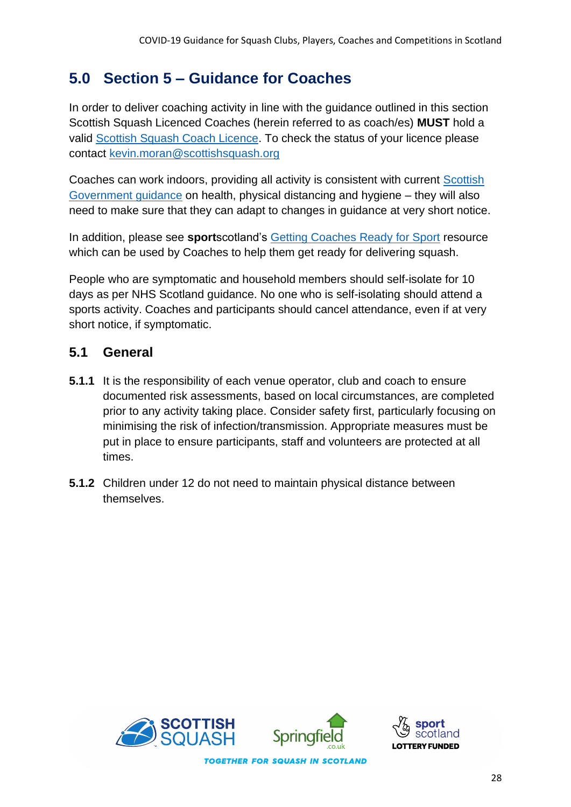# **5.0 Section 5 – Guidance for Coaches**

In order to deliver coaching activity in line with the guidance outlined in this section Scottish Squash Licenced Coaches (herein referred to as coach/es) **MUST** hold a valid [Scottish Squash Coach Licence.](https://www.scottishsquash.org/coach-licence/) To check the status of your licence please contact [kevin.moran@scottishsquash.org](mailto:kevin.moran@scottishsquash.org)

Coaches can work indoors, providing all activity is consistent with current [Scottish](https://www.gov.scot/coronavirus-covid-19/)  [Government guidance](https://www.gov.scot/coronavirus-covid-19/) on health, physical distancing and hygiene – they will also need to make sure that they can adapt to changes in guidance at very short notice.

In addition, please see **sport**scotland's [Getting Coaches Ready for Sport](https://sportscotland.org.uk/covid-19/getting-coaches-ready-for-sport/) resource which can be used by Coaches to help them get ready for delivering squash.

People who are symptomatic and household members should self-isolate for 10 days as per NHS Scotland guidance. No one who is self-isolating should attend a sports activity. Coaches and participants should cancel attendance, even if at very short notice, if symptomatic.

#### **5.1 General**

- **5.1.1** It is the responsibility of each venue operator, club and coach to ensure documented risk assessments, based on local circumstances, are completed prior to any activity taking place. Consider safety first, particularly focusing on minimising the risk of infection/transmission. Appropriate measures must be put in place to ensure participants, staff and volunteers are protected at all times.
- **5.1.2** Children under 12 do not need to maintain physical distance between themselves.

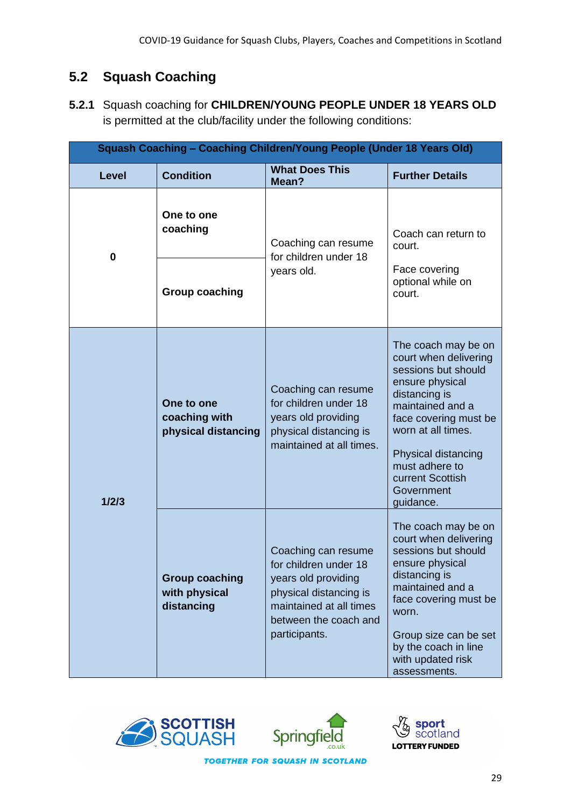### **5.2 Squash Coaching**

**5.2.1** Squash coaching for **CHILDREN/YOUNG PEOPLE UNDER 18 YEARS OLD**  is permitted at the club/facility under the following conditions:

| Squash Coaching - Coaching Children/Young People (Under 18 Years Old) |                                                      |                                                                                                                                                                    |                                                                                                                                                                                                                                                                    |
|-----------------------------------------------------------------------|------------------------------------------------------|--------------------------------------------------------------------------------------------------------------------------------------------------------------------|--------------------------------------------------------------------------------------------------------------------------------------------------------------------------------------------------------------------------------------------------------------------|
| <b>Level</b>                                                          | <b>Condition</b>                                     | <b>What Does This</b><br>Mean?                                                                                                                                     | <b>Further Details</b>                                                                                                                                                                                                                                             |
| $\bf{0}$                                                              | One to one<br>coaching                               | Coaching can resume<br>for children under 18<br>years old.                                                                                                         | Coach can return to<br>court.                                                                                                                                                                                                                                      |
|                                                                       | <b>Group coaching</b>                                |                                                                                                                                                                    | Face covering<br>optional while on<br>court.                                                                                                                                                                                                                       |
| 1/2/3                                                                 | One to one<br>coaching with<br>physical distancing   | Coaching can resume<br>for children under 18<br>years old providing<br>physical distancing is<br>maintained at all times.                                          | The coach may be on<br>court when delivering<br>sessions but should<br>ensure physical<br>distancing is<br>maintained and a<br>face covering must be<br>worn at all times.<br>Physical distancing<br>must adhere to<br>current Scottish<br>Government<br>guidance. |
|                                                                       | <b>Group coaching</b><br>with physical<br>distancing | Coaching can resume<br>for children under 18<br>years old providing<br>physical distancing is<br>maintained at all times<br>between the coach and<br>participants. | The coach may be on<br>court when delivering<br>sessions but should<br>ensure physical<br>distancing is<br>maintained and a<br>face covering must be<br>worn.<br>Group size can be set<br>by the coach in line<br>with updated risk<br>assessments.                |





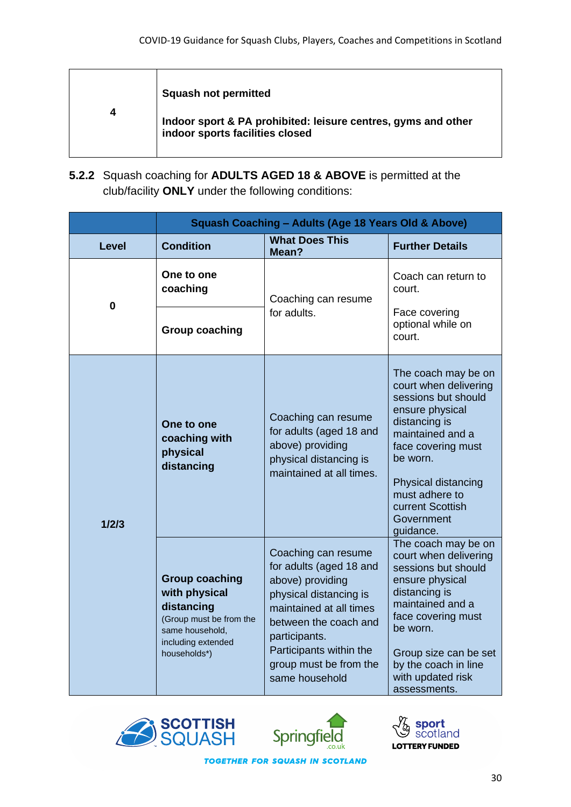|   | <b>Squash not permitted</b>                                                                      |
|---|--------------------------------------------------------------------------------------------------|
| 4 | Indoor sport & PA prohibited: leisure centres, gyms and other<br>indoor sports facilities closed |

**5.2.2** Squash coaching for **ADULTS AGED 18 & ABOVE** is permitted at the club/facility **ONLY** under the following conditions:

|              | <b>Squash Coaching - Adults (Age 18 Years Old &amp; Above)</b>                                                                           |                                                                                                                                                                                                                                          |                                                                                                                                                                                                                                                       |
|--------------|------------------------------------------------------------------------------------------------------------------------------------------|------------------------------------------------------------------------------------------------------------------------------------------------------------------------------------------------------------------------------------------|-------------------------------------------------------------------------------------------------------------------------------------------------------------------------------------------------------------------------------------------------------|
| <b>Level</b> | <b>Condition</b>                                                                                                                         | <b>What Does This</b><br>Mean?                                                                                                                                                                                                           | <b>Further Details</b>                                                                                                                                                                                                                                |
| $\bf{0}$     | One to one<br>coaching                                                                                                                   | Coaching can resume<br>for adults.                                                                                                                                                                                                       | Coach can return to<br>court.                                                                                                                                                                                                                         |
|              | <b>Group coaching</b>                                                                                                                    |                                                                                                                                                                                                                                          | Face covering<br>optional while on<br>court.                                                                                                                                                                                                          |
| 1/2/3        | One to one<br>coaching with<br>physical<br>distancing                                                                                    | Coaching can resume<br>for adults (aged 18 and<br>above) providing<br>physical distancing is<br>maintained at all times.                                                                                                                 | The coach may be on<br>court when delivering<br>sessions but should<br>ensure physical<br>distancing is<br>maintained and a<br>face covering must<br>be worn.<br>Physical distancing<br>must adhere to<br>current Scottish<br>Government<br>guidance. |
|              | <b>Group coaching</b><br>with physical<br>distancing<br>(Group must be from the<br>same household,<br>including extended<br>households*) | Coaching can resume<br>for adults (aged 18 and<br>above) providing<br>physical distancing is<br>maintained at all times<br>between the coach and<br>participants.<br>Participants within the<br>group must be from the<br>same household | The coach may be on<br>court when delivering<br>sessions but should<br>ensure physical<br>distancing is<br>maintained and a<br>face covering must<br>be worn.<br>Group size can be set<br>by the coach in line<br>with updated risk<br>assessments.   |





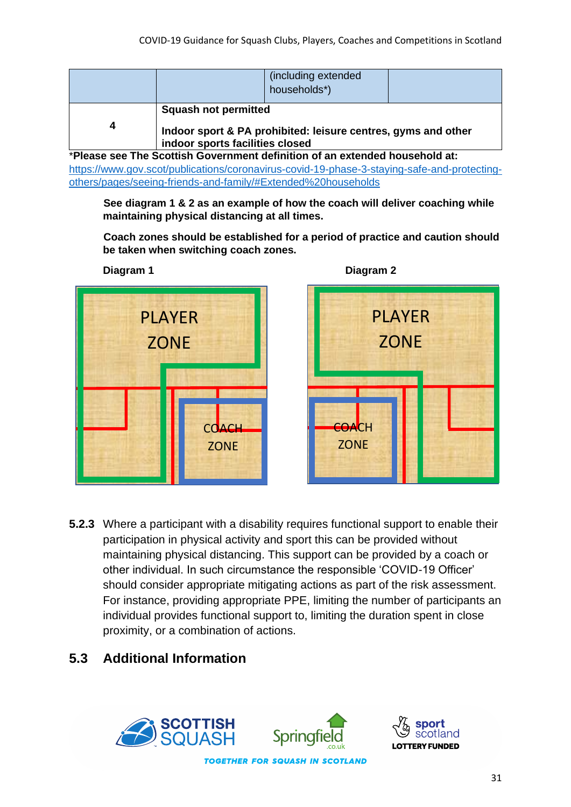|   |                                                                | (including extended<br>households*)                           |  |
|---|----------------------------------------------------------------|---------------------------------------------------------------|--|
| Δ | <b>Squash not permitted</b><br>indoor sports facilities closed | Indoor sport & PA prohibited: leisure centres, gyms and other |  |

\***Please see The Scottish Government definition of an extended household at:**  [https://www.gov.scot/publications/coronavirus-covid-19-phase-3-staying-safe-and-protecting](https://www.gov.scot/publications/coronavirus-covid-19-phase-3-staying-safe-and-protecting-others/pages/seeing-friends-and-family/#Extended%20households)[others/pages/seeing-friends-and-family/#Extended%20households](https://www.gov.scot/publications/coronavirus-covid-19-phase-3-staying-safe-and-protecting-others/pages/seeing-friends-and-family/#Extended%20households)

**See diagram 1 & 2 as an example of how the coach will deliver coaching while maintaining physical distancing at all times.**

**Coach zones should be established for a period of practice and caution should be taken when switching coach zones.**



**Diagram 1 Diagram 2**



**5.2.3** Where a participant with a disability requires functional support to enable their participation in physical activity and sport this can be provided without maintaining physical distancing. This support can be provided by a coach or other individual. In such circumstance the responsible 'COVID-19 Officer' should consider appropriate mitigating actions as part of the risk assessment. For instance, providing appropriate PPE, limiting the number of participants an individual provides functional support to, limiting the duration spent in close proximity, or a combination of actions.

#### **5.3 Additional Information**

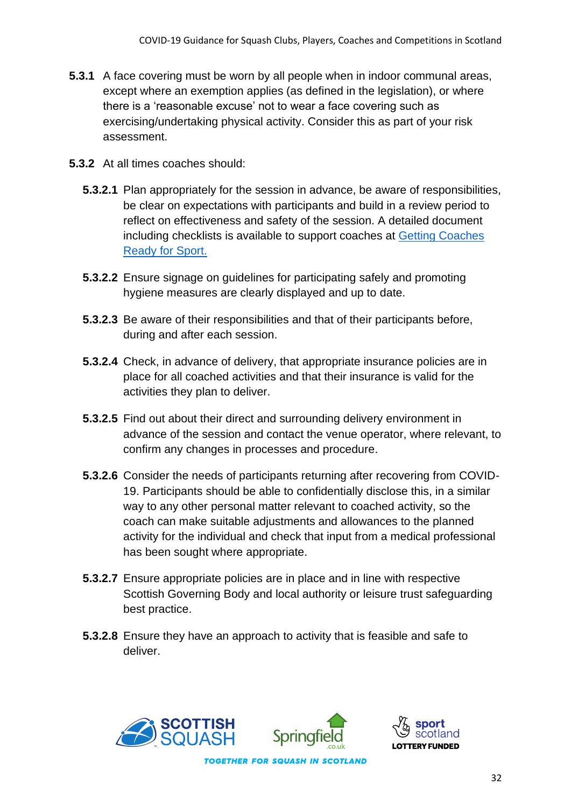- **5.3.1** A face covering must be worn by all people when in indoor communal areas, except where an exemption applies (as defined in the legislation), or where there is a 'reasonable excuse' not to wear a face covering such as exercising/undertaking physical activity. Consider this as part of your risk assessment.
- **5.3.2** At all times coaches should:
	- **5.3.2.1** Plan appropriately for the session in advance, be aware of responsibilities, be clear on expectations with participants and build in a review period to reflect on effectiveness and safety of the session. A detailed document including checklists is available to support coaches at [Getting Coaches](https://sportscotland.org.uk/covid-19/getting-coaches-ready-for-sport/)  [Ready for Sport.](https://sportscotland.org.uk/covid-19/getting-coaches-ready-for-sport/)
	- **5.3.2.2** Ensure signage on guidelines for participating safely and promoting hygiene measures are clearly displayed and up to date.
	- **5.3.2.3** Be aware of their responsibilities and that of their participants before, during and after each session.
	- **5.3.2.4** Check, in advance of delivery, that appropriate insurance policies are in place for all coached activities and that their insurance is valid for the activities they plan to deliver.
	- **5.3.2.5** Find out about their direct and surrounding delivery environment in advance of the session and contact the venue operator, where relevant, to confirm any changes in processes and procedure.
	- **5.3.2.6** Consider the needs of participants returning after recovering from COVID-19. Participants should be able to confidentially disclose this, in a similar way to any other personal matter relevant to coached activity, so the coach can make suitable adjustments and allowances to the planned activity for the individual and check that input from a medical professional has been sought where appropriate.
	- **5.3.2.7** Ensure appropriate policies are in place and in line with respective Scottish Governing Body and local authority or leisure trust safeguarding best practice.
	- **5.3.2.8** Ensure they have an approach to activity that is feasible and safe to deliver.





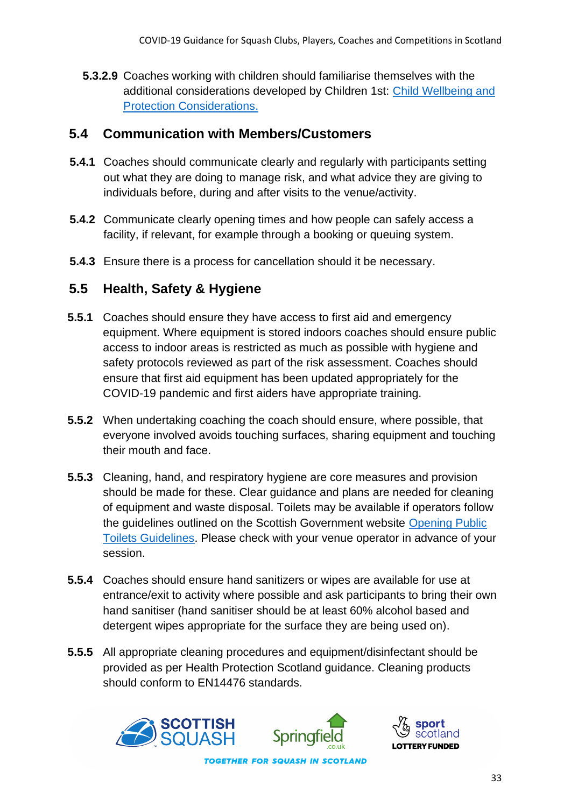**5.3.2.9** Coaches working with children should familiarise themselves with the additional considerations developed by Children 1st: [Child Wellbeing and](https://sportscotland.org.uk/media/5774/cyp-return-to-sport-after-covid-19.pdf)  [Protection Considerations.](https://sportscotland.org.uk/media/5774/cyp-return-to-sport-after-covid-19.pdf)

#### **5.4 Communication with Members/Customers**

- **5.4.1** Coaches should communicate clearly and regularly with participants setting out what they are doing to manage risk, and what advice they are giving to individuals before, during and after visits to the venue/activity.
- **5.4.2** Communicate clearly opening times and how people can safely access a facility, if relevant, for example through a booking or queuing system.
- **5.4.3** Ensure there is a process for cancellation should it be necessary.

#### **5.5 Health, Safety & Hygiene**

- **5.5.1** Coaches should ensure they have access to first aid and emergency equipment. Where equipment is stored indoors coaches should ensure public access to indoor areas is restricted as much as possible with hygiene and safety protocols reviewed as part of the risk assessment. Coaches should ensure that first aid equipment has been updated appropriately for the COVID-19 pandemic and first aiders have appropriate training.
- **5.5.2** When undertaking coaching the coach should ensure, where possible, that everyone involved avoids touching surfaces, sharing equipment and touching their mouth and face.
- **5.5.3** Cleaning, hand, and respiratory hygiene are core measures and provision should be made for these. Clear guidance and plans are needed for cleaning of equipment and waste disposal. Toilets may be available if operators follow the guidelines outlined on the Scottish Government website [Opening Public](https://www.gov.scot/publications/coronavirus-covid-19-public-and-customer-toilets-guidance/pages/overview/)  [Toilets Guidelines.](https://www.gov.scot/publications/coronavirus-covid-19-public-and-customer-toilets-guidance/pages/overview/) Please check with your venue operator in advance of your session.
- **5.5.4** Coaches should ensure hand sanitizers or wipes are available for use at entrance/exit to activity where possible and ask participants to bring their own hand sanitiser (hand sanitiser should be at least 60% alcohol based and detergent wipes appropriate for the surface they are being used on).
- **5.5.5** All appropriate cleaning procedures and equipment/disinfectant should be provided as per Health Protection Scotland guidance. Cleaning products should conform to EN14476 standards.



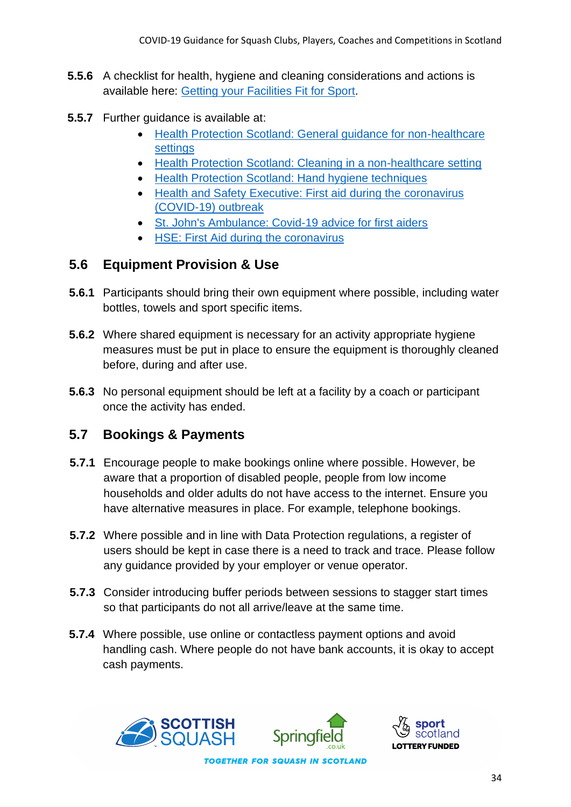- **5.5.6** A checklist for health, hygiene and cleaning considerations and actions is available here: [Getting your Facilities Fit for Sport.](https://sportscotland.org.uk/covid-19/getting-your-facilities-fit-for-sport/)
- **5.5.7** Further quidance is available at:
	- [Health Protection Scotland: General guidance for non-healthcare](https://www.hps.scot.nhs.uk/web-resources-container/covid-19-guidance-for-non-healthcare-settings/)  [settings](https://www.hps.scot.nhs.uk/web-resources-container/covid-19-guidance-for-non-healthcare-settings/)
	- [Health Protection Scotland: Cleaning in a non-healthcare setting](http://www.gov.uk/government/publications/covid-19-decontamination-in-non-healthcare-settings/covid-19-decontamination-in-non-healthcare-settings)
	- [Health Protection Scotland: Hand hygiene techniques](http://www.hps.scot.nhs.uk/a-to-z-of-topics/hand-hygiene/)
	- [Health and Safety Executive: First aid during the](https://www.hse.gov.uk/coronavirus/first-aid-and-medicals/first-aid-certificate-coronavirus.htm) coronavirus [\(COVID-19\) outbreak](https://www.hse.gov.uk/coronavirus/first-aid-and-medicals/first-aid-certificate-coronavirus.htm)
	- [St. John's Ambulance: Covid-19 advice for first aiders](http://www.sja.org.uk/get-advice/first-aid-advice/covid-19-advice-for-first-aiders/)
	- [HSE: First Aid during the coronavirus](http://www.hse.gov.uk/coronavirus/first-aid-and-medicals/first-aid-certificate-coronavirus.htm)

#### **5.6 Equipment Provision & Use**

- **5.6.1** Participants should bring their own equipment where possible, including water bottles, towels and sport specific items.
- **5.6.2** Where shared equipment is necessary for an activity appropriate hygiene measures must be put in place to ensure the equipment is thoroughly cleaned before, during and after use.
- **5.6.3** No personal equipment should be left at a facility by a coach or participant once the activity has ended.

#### **5.7 Bookings & Payments**

- **5.7.1** Encourage people to make bookings online where possible. However, be aware that a proportion of disabled people, people from low income households and older adults do not have access to the internet. Ensure you have alternative measures in place. For example, telephone bookings.
- **5.7.2** Where possible and in line with Data Protection regulations, a register of users should be kept in case there is a need to track and trace. Please follow any guidance provided by your employer or venue operator.
- **5.7.3** Consider introducing buffer periods between sessions to stagger start times so that participants do not all arrive/leave at the same time.
- **5.7.4** Where possible, use online or contactless payment options and avoid handling cash. Where people do not have bank accounts, it is okay to accept cash payments.



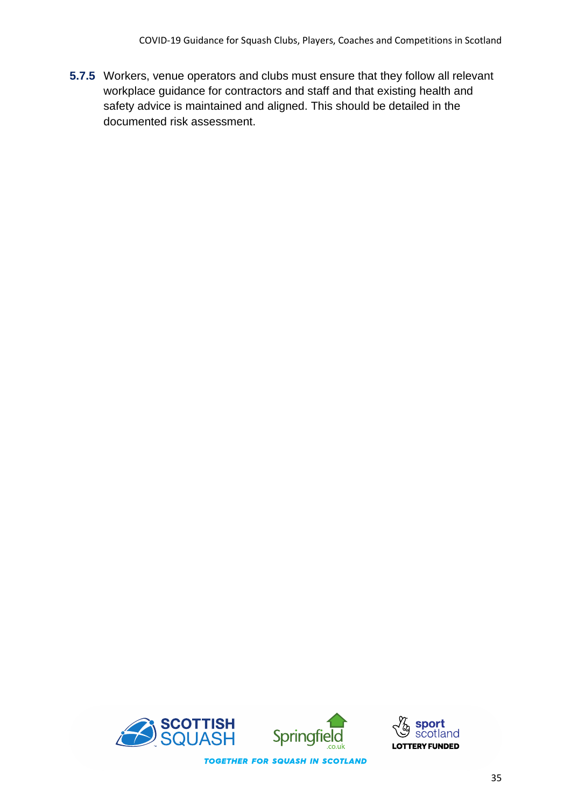**5.7.5** Workers, venue operators and clubs must ensure that they follow all relevant workplace guidance for contractors and staff and that existing health and safety advice is maintained and aligned. This should be detailed in the documented risk assessment.



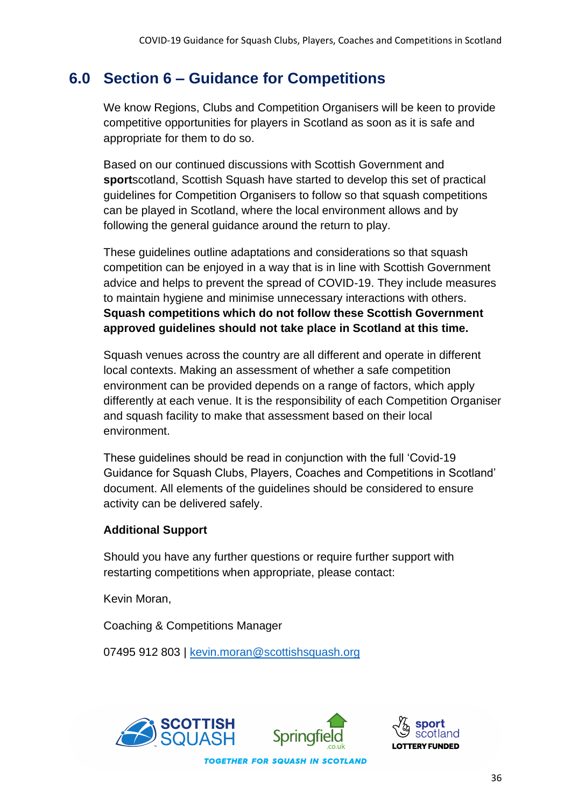# **6.0 Section 6 – Guidance for Competitions**

We know Regions, Clubs and Competition Organisers will be keen to provide competitive opportunities for players in Scotland as soon as it is safe and appropriate for them to do so.

Based on our continued discussions with Scottish Government and **sport**scotland, Scottish Squash have started to develop this set of practical guidelines for Competition Organisers to follow so that squash competitions can be played in Scotland, where the local environment allows and by following the general guidance around the return to play.

These guidelines outline adaptations and considerations so that squash competition can be enjoyed in a way that is in line with Scottish Government advice and helps to prevent the spread of COVID-19. They include measures to maintain hygiene and minimise unnecessary interactions with others. **Squash competitions which do not follow these Scottish Government approved guidelines should not take place in Scotland at this time.**

Squash venues across the country are all different and operate in different local contexts. Making an assessment of whether a safe competition environment can be provided depends on a range of factors, which apply differently at each venue. It is the responsibility of each Competition Organiser and squash facility to make that assessment based on their local environment.

These guidelines should be read in conjunction with the full 'Covid-19 Guidance for Squash Clubs, Players, Coaches and Competitions in Scotland' document. All elements of the guidelines should be considered to ensure activity can be delivered safely.

#### **Additional Support**

Should you have any further questions or require further support with restarting competitions when appropriate, please contact:

Kevin Moran,

Coaching & Competitions Manager

07495 912 803 | [kevin.moran@scottishsquash.org](mailto:kevin.moran@scottishsquash.org)





36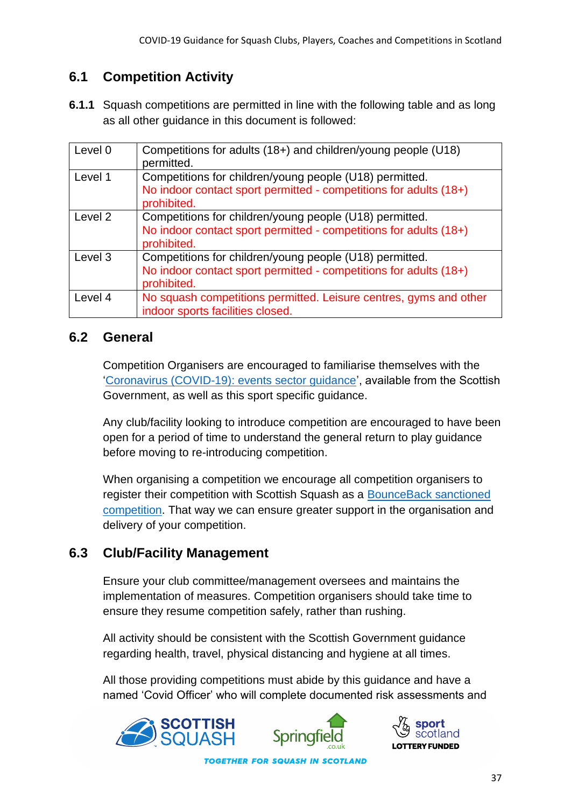### **6.1 Competition Activity**

**6.1.1** Squash competitions are permitted in line with the following table and as long as all other guidance in this document is followed:

| Level 0 | Competitions for adults (18+) and children/young people (U18)<br>permitted.                                                                 |
|---------|---------------------------------------------------------------------------------------------------------------------------------------------|
| Level 1 | Competitions for children/young people (U18) permitted.<br>No indoor contact sport permitted - competitions for adults (18+)<br>prohibited. |
| Level 2 | Competitions for children/young people (U18) permitted.<br>No indoor contact sport permitted - competitions for adults (18+)<br>prohibited. |
| Level 3 | Competitions for children/young people (U18) permitted.<br>No indoor contact sport permitted - competitions for adults (18+)<br>prohibited. |
| Level 4 | No squash competitions permitted. Leisure centres, gyms and other<br>indoor sports facilities closed.                                       |

#### **6.2 General**

Competition Organisers are encouraged to familiarise themselves with the ['Coronavirus \(COVID-19\): events sector guidance'](https://www.gov.scot/publications/coronavirus-covid-19-events-sector-guidance/), available from the Scottish Government, as well as this sport specific guidance.

Any club/facility looking to introduce competition are encouraged to have been open for a period of time to understand the general return to play guidance before moving to re-introducing competition.

When organising a competition we encourage all competition organisers to register their competition with Scottish Squash as a [BounceBack sanctioned](https://www.scottishsquash.org/events/event-forms/)  [competition.](https://www.scottishsquash.org/events/event-forms/) That way we can ensure greater support in the organisation and delivery of your competition.

#### **6.3 Club/Facility Management**

Ensure your club committee/management oversees and maintains the implementation of measures. Competition organisers should take time to ensure they resume competition safely, rather than rushing.

All activity should be consistent with the Scottish Government guidance regarding health, travel, physical distancing and hygiene at all times.

All those providing competitions must abide by this guidance and have a named 'Covid Officer' who will complete documented risk assessments and



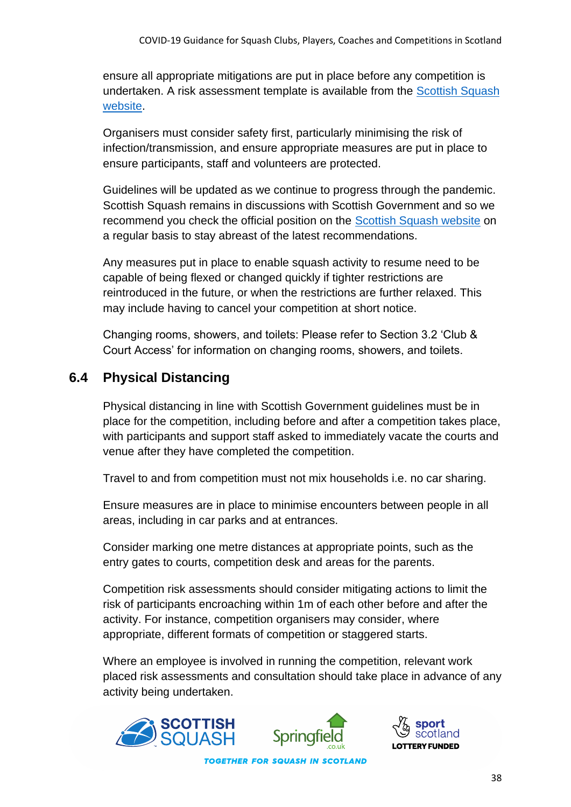ensure all appropriate mitigations are put in place before any competition is undertaken. A risk assessment template is available from the [Scottish Squash](https://www.scottishsquash.org/resource-toolkit/#toggle-id-2-closed)  [website.](https://www.scottishsquash.org/resource-toolkit/#toggle-id-2-closed)

Organisers must consider safety first, particularly minimising the risk of infection/transmission, and ensure appropriate measures are put in place to ensure participants, staff and volunteers are protected.

Guidelines will be updated as we continue to progress through the pandemic. Scottish Squash remains in discussions with Scottish Government and so we recommend you check the official position on the [Scottish Squash website](https://www.scottishsquash.org/scottish-squash-coronavirus-covid19/) on a regular basis to stay abreast of the latest recommendations.

Any measures put in place to enable squash activity to resume need to be capable of being flexed or changed quickly if tighter restrictions are reintroduced in the future, or when the restrictions are further relaxed. This may include having to cancel your competition at short notice.

Changing rooms, showers, and toilets: Please refer to Section 3.2 'Club & Court Access' for information on changing rooms, showers, and toilets.

### **6.4 Physical Distancing**

Physical distancing in line with Scottish Government guidelines must be in place for the competition, including before and after a competition takes place, with participants and support staff asked to immediately vacate the courts and venue after they have completed the competition.

Travel to and from competition must not mix households i.e. no car sharing.

Ensure measures are in place to minimise encounters between people in all areas, including in car parks and at entrances.

Consider marking one metre distances at appropriate points, such as the entry gates to courts, competition desk and areas for the parents.

Competition risk assessments should consider mitigating actions to limit the risk of participants encroaching within 1m of each other before and after the activity. For instance, competition organisers may consider, where appropriate, different formats of competition or staggered starts.

Where an employee is involved in running the competition, relevant work placed risk assessments and consultation should take place in advance of any activity being undertaken.

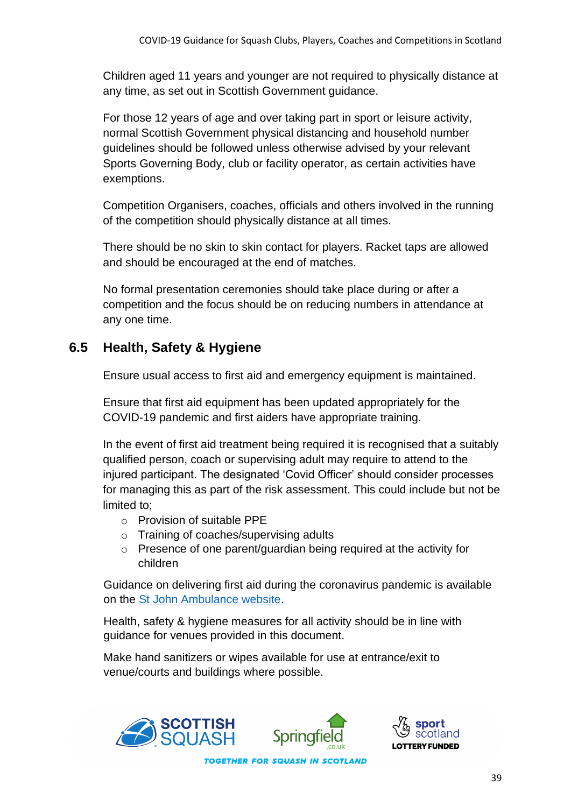Children aged 11 years and younger are not required to physically distance at any time, as set out in Scottish Government guidance.

For those 12 years of age and over taking part in sport or leisure activity, normal Scottish Government physical distancing and household number guidelines should be followed unless otherwise advised by your relevant Sports Governing Body, club or facility operator, as certain activities have exemptions.

Competition Organisers, coaches, officials and others involved in the running of the competition should physically distance at all times.

There should be no skin to skin contact for players. Racket taps are allowed and should be encouraged at the end of matches.

No formal presentation ceremonies should take place during or after a competition and the focus should be on reducing numbers in attendance at any one time.

#### **6.5 Health, Safety & Hygiene**

Ensure usual access to first aid and emergency equipment is maintained.

Ensure that first aid equipment has been updated appropriately for the COVID-19 pandemic and first aiders have appropriate training.

In the event of first aid treatment being required it is recognised that a suitably qualified person, coach or supervising adult may require to attend to the injured participant. The designated 'Covid Officer' should consider processes for managing this as part of the risk assessment. This could include but not be limited to;

- o Provision of suitable PPE
- o Training of coaches/supervising adults
- o Presence of one parent/guardian being required at the activity for children

Guidance on delivering first aid during the coronavirus pandemic is available on the [St John Ambulance website.](https://www.sja.org.uk/get-advice/first-aid-advice/covid-19-advice-for-first-aiders/)

Health, safety & hygiene measures for all activity should be in line with guidance for venues provided in this document.

Make hand sanitizers or wipes available for use at entrance/exit to venue/courts and buildings where possible.



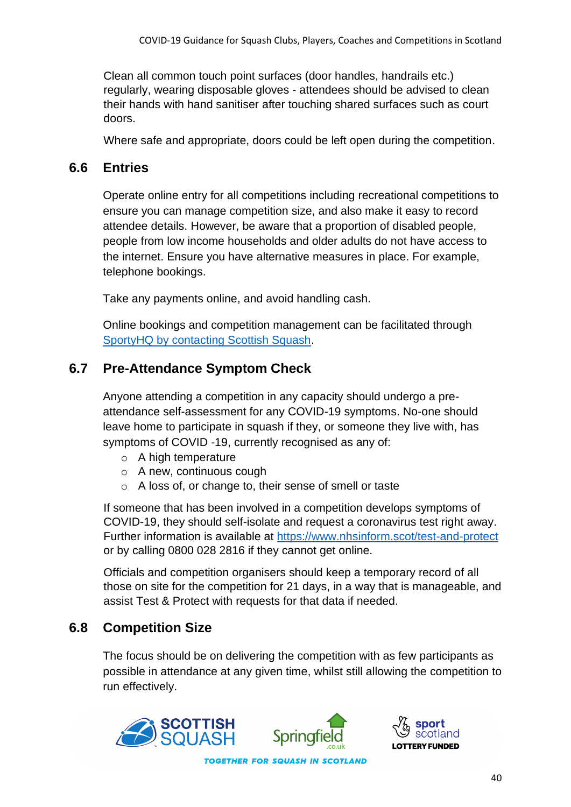Clean all common touch point surfaces (door handles, handrails etc.) regularly, wearing disposable gloves - attendees should be advised to clean their hands with hand sanitiser after touching shared surfaces such as court doors.

Where safe and appropriate, doors could be left open during the competition.

#### **6.6 Entries**

Operate online entry for all competitions including recreational competitions to ensure you can manage competition size, and also make it easy to record attendee details. However, be aware that a proportion of disabled people, people from low income households and older adults do not have access to the internet. Ensure you have alternative measures in place. For example, telephone bookings.

Take any payments online, and avoid handling cash.

Online bookings and competition management can be facilitated through [SportyHQ by contacting Scottish Squash.](https://www.scottishsquash.org/20797-2/)

### **6.7 Pre-Attendance Symptom Check**

Anyone attending a competition in any capacity should undergo a preattendance self-assessment for any COVID-19 symptoms. No-one should leave home to participate in squash if they, or someone they live with, has symptoms of COVID -19, currently recognised as any of:

- o A high temperature
- o A new, continuous cough
- o A loss of, or change to, their sense of smell or taste

If someone that has been involved in a competition develops symptoms of COVID-19, they should self-isolate and request a coronavirus test right away. Further information is available at<https://www.nhsinform.scot/test-and-protect> or by calling 0800 028 2816 if they cannot get online.

Officials and competition organisers should keep a temporary record of all those on site for the competition for 21 days, in a way that is manageable, and assist Test & Protect with requests for that data if needed.

#### **6.8 Competition Size**

The focus should be on delivering the competition with as few participants as possible in attendance at any given time, whilst still allowing the competition to run effectively.



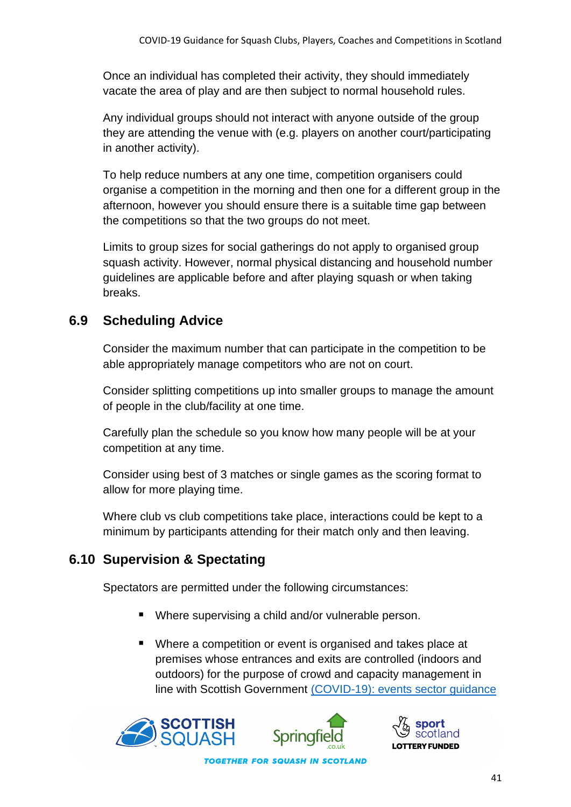Once an individual has completed their activity, they should immediately vacate the area of play and are then subject to normal household rules.

Any individual groups should not interact with anyone outside of the group they are attending the venue with (e.g. players on another court/participating in another activity).

To help reduce numbers at any one time, competition organisers could organise a competition in the morning and then one for a different group in the afternoon, however you should ensure there is a suitable time gap between the competitions so that the two groups do not meet.

Limits to group sizes for social gatherings do not apply to organised group squash activity. However, normal physical distancing and household number guidelines are applicable before and after playing squash or when taking breaks.

### **6.9 Scheduling Advice**

Consider the maximum number that can participate in the competition to be able appropriately manage competitors who are not on court.

Consider splitting competitions up into smaller groups to manage the amount of people in the club/facility at one time.

Carefully plan the schedule so you know how many people will be at your competition at any time.

Consider using best of 3 matches or single games as the scoring format to allow for more playing time.

Where club vs club competitions take place, interactions could be kept to a minimum by participants attending for their match only and then leaving.

# **6.10 Supervision & Spectating**

Spectators are permitted under the following circumstances:

- Where supervising a child and/or vulnerable person.
- Where a competition or event is organised and takes place at premises whose entrances and exits are controlled (indoors and outdoors) for the purpose of crowd and capacity management in line with Scottish Government [\(COVID-19\): events sector guidance](https://protect-eu.mimecast.com/s/FciKCk50qulxM1fQ2ibV?domain=gov.scot/)



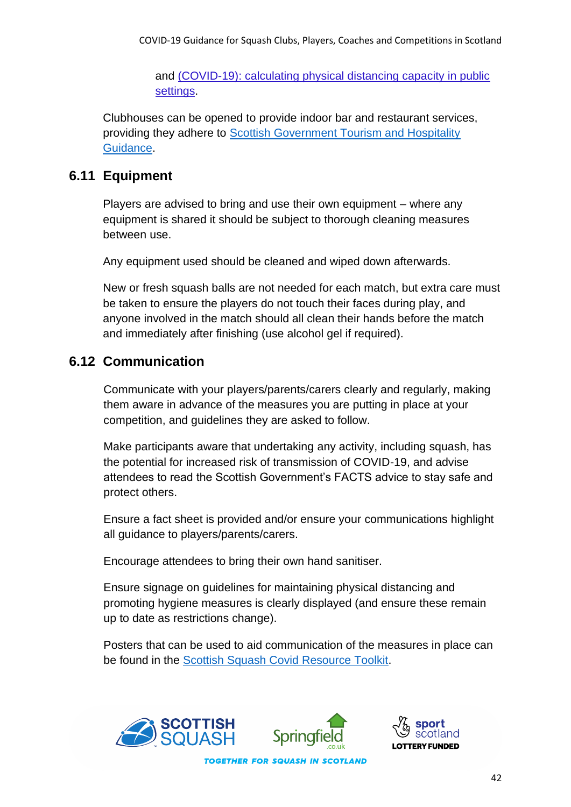and [\(COVID-19\): calculating physical distancing capacity in public](https://protect-eu.mimecast.com/s/P4KmClO9rHGQBpiqO5s9?domain=gov.scot/)  [settings.](https://protect-eu.mimecast.com/s/P4KmClO9rHGQBpiqO5s9?domain=gov.scot/)

Clubhouses can be opened to provide indoor bar and restaurant services, providing they adhere to [Scottish Government Tourism and Hospitality](https://www.gov.scot/publications/coronavirus-covid-19-tourism-and-hospitality-sector-guidance/)  [Guidance.](https://www.gov.scot/publications/coronavirus-covid-19-tourism-and-hospitality-sector-guidance/)

#### **6.11 Equipment**

Players are advised to bring and use their own equipment – where any equipment is shared it should be subject to thorough cleaning measures between use.

Any equipment used should be cleaned and wiped down afterwards.

New or fresh squash balls are not needed for each match, but extra care must be taken to ensure the players do not touch their faces during play, and anyone involved in the match should all clean their hands before the match and immediately after finishing (use alcohol gel if required).

#### **6.12 Communication**

Communicate with your players/parents/carers clearly and regularly, making them aware in advance of the measures you are putting in place at your competition, and guidelines they are asked to follow.

Make participants aware that undertaking any activity, including squash, has the potential for increased risk of transmission of COVID-19, and advise attendees to read the Scottish Government's FACTS advice to stay safe and protect others.

Ensure a fact sheet is provided and/or ensure your communications highlight all guidance to players/parents/carers.

Encourage attendees to bring their own hand sanitiser.

Ensure signage on guidelines for maintaining physical distancing and promoting hygiene measures is clearly displayed (and ensure these remain up to date as restrictions change).

Posters that can be used to aid communication of the measures in place can be found in the [Scottish Squash Covid Resource Toolkit.](https://www.scottishsquash.org/resource-toolkit/)





42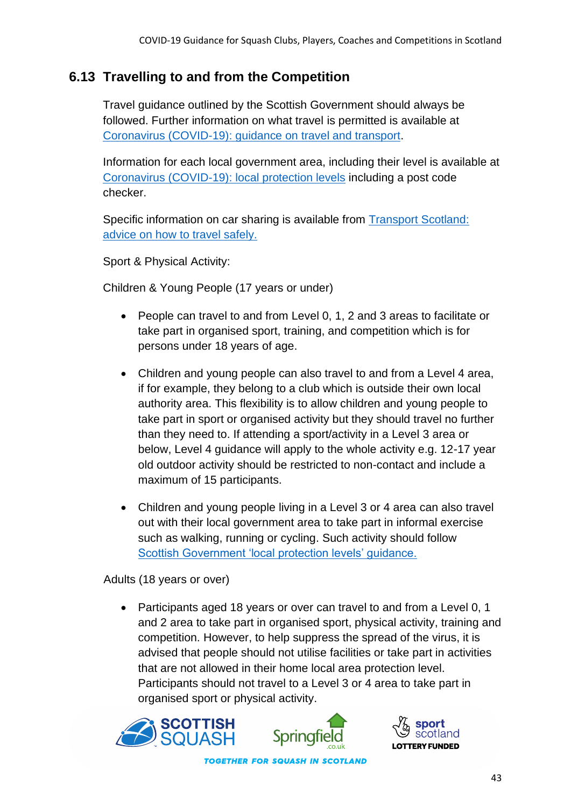#### **6.13 Travelling to and from the Competition**

Travel guidance outlined by the Scottish Government should always be followed. Further information on what travel is permitted is available at [Coronavirus \(COVID-19\): guidance on travel and transport.](https://www.gov.scot/publications/coronavirus-covid-19-guidance-on-travel-and-transport/)

Information for each local government area, including their level is available at [Coronavirus \(COVID-19\): local protection levels](https://www.gov.scot/publications/coronavirus-covid-19-protection-levels/) including a post code checker.

Specific information on car sharing is available from [Transport Scotland:](https://www.transport.gov.scot/coronavirus-covid-19/transport-transition-plan/advice-on-how-to-travel-safely/#section-63888)  [advice on how to travel safely.](https://www.transport.gov.scot/coronavirus-covid-19/transport-transition-plan/advice-on-how-to-travel-safely/#section-63888)

Sport & Physical Activity:

Children & Young People (17 years or under)

- People can travel to and from Level 0, 1, 2 and 3 areas to facilitate or take part in organised sport, training, and competition which is for persons under 18 years of age.
- Children and young people can also travel to and from a Level 4 area, if for example, they belong to a club which is outside their own local authority area. This flexibility is to allow children and young people to take part in sport or organised activity but they should travel no further than they need to. If attending a sport/activity in a Level 3 area or below, Level 4 guidance will apply to the whole activity e.g. 12-17 year old outdoor activity should be restricted to non-contact and include a maximum of 15 participants.
- Children and young people living in a Level 3 or 4 area can also travel out with their local government area to take part in informal exercise such as walking, running or cycling. Such activity should follow [Scottish Government 'local protection levels' guidance.](https://www.gov.scot/publications/coronavirus-covid-19-protection-levels/pages/protection-levels-by-area/)

Adults (18 years or over)

• Participants aged 18 years or over can travel to and from a Level 0, 1 and 2 area to take part in organised sport, physical activity, training and competition. However, to help suppress the spread of the virus, it is advised that people should not utilise facilities or take part in activities that are not allowed in their home local area protection level. Participants should not travel to a Level 3 or 4 area to take part in organised sport or physical activity.





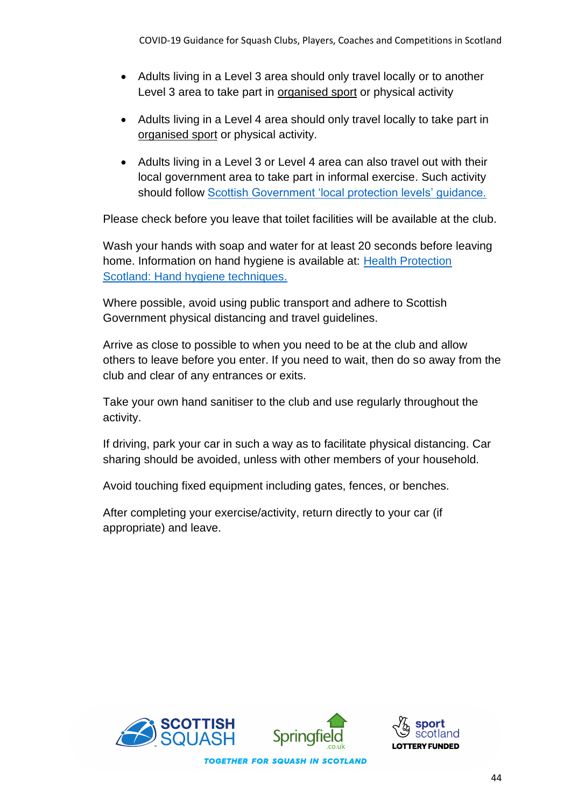- Adults living in a Level 3 area should only travel locally or to another Level 3 area to take part in organised sport or physical activity
- Adults living in a Level 4 area should only travel locally to take part in organised sport or physical activity.
- Adults living in a Level 3 or Level 4 area can also travel out with their local government area to take part in informal exercise. Such activity should follow [Scottish Government 'local protection levels' guidance.](https://www.gov.scot/publications/coronavirus-covid-19-stay-at-home-guidance/)

Please check before you leave that toilet facilities will be available at the club.

Wash your hands with soap and water for at least 20 seconds before leaving home. Information on hand hygiene is available at: [Health Protection](http://www.hps.scot.nhs.uk/a-to-z-of-topics/hand-hygiene/)  [Scotland: Hand hygiene techniques.](http://www.hps.scot.nhs.uk/a-to-z-of-topics/hand-hygiene/)

Where possible, avoid using public transport and adhere to Scottish Government physical distancing and travel guidelines.

Arrive as close to possible to when you need to be at the club and allow others to leave before you enter. If you need to wait, then do so away from the club and clear of any entrances or exits.

Take your own hand sanitiser to the club and use regularly throughout the activity.

If driving, park your car in such a way as to facilitate physical distancing. Car sharing should be avoided, unless with other members of your household.

Avoid touching fixed equipment including gates, fences, or benches.

After completing your exercise/activity, return directly to your car (if appropriate) and leave.